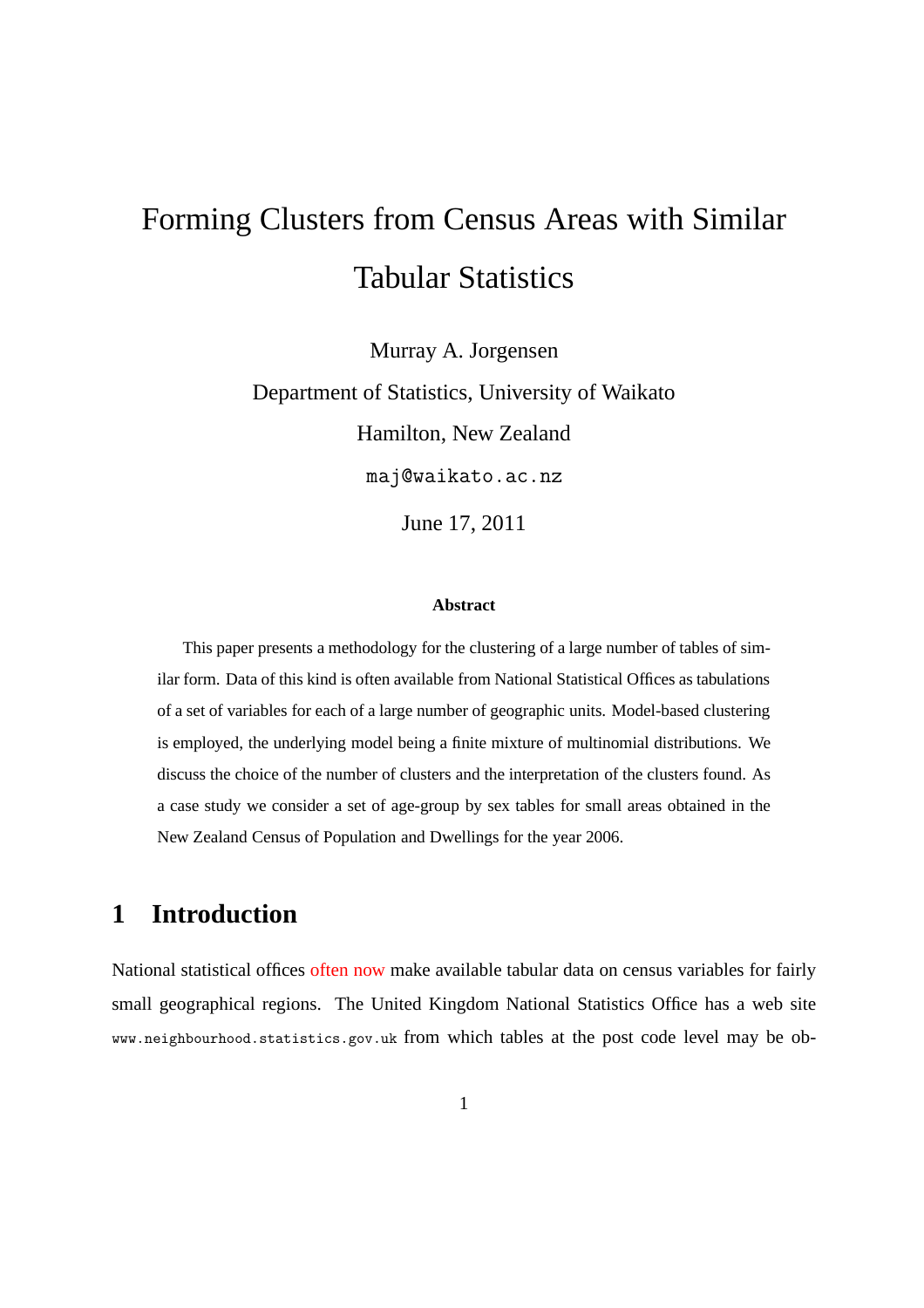# Forming Clusters from Census Areas with Similar Tabular Statistics

Murray A. Jorgensen Department of Statistics, University of Waikato Hamilton, New Zealand maj@waikato.ac.nz June 17, 2011

#### **Abstract**

This paper presents a methodology for the clustering of a large number of tables of similar form. Data of this kind is often available from National Statistical Offices as tabulations of a set of variables for each of a large number of geographic units. Model-based clustering is employed, the underlying model being a finite mixture of multinomial distributions. We discuss the choice of the number of clusters and the interpretation of the clusters found. As a case study we consider a set of age-group by sex tables for small areas obtained in the New Zealand Census of Population and Dwellings for the year 2006.

# **1 Introduction**

National statistical offices often now make available tabular data on census variables for fairly small geographical regions. The United Kingdom National Statistics Office has a web site www.neighbourhood.statistics.gov.uk from which tables at the post code level may be ob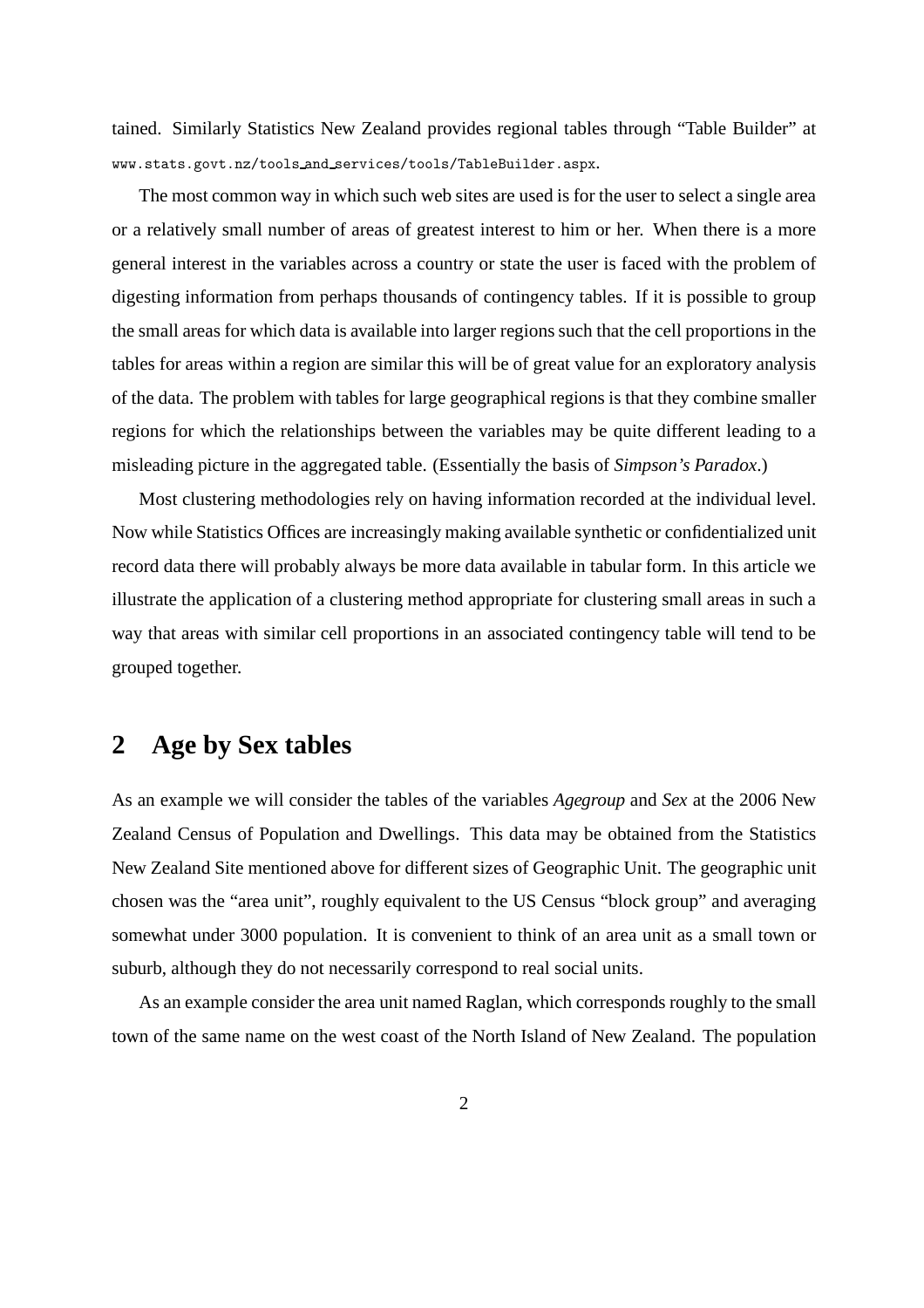tained. Similarly Statistics New Zealand provides regional tables through "Table Builder" at www.stats.govt.nz/tools and services/tools/TableBuilder.aspx.

The most common way in which such web sites are used is for the user to select a single area or a relatively small number of areas of greatest interest to him or her. When there is a more general interest in the variables across a country or state the user is faced with the problem of digesting information from perhaps thousands of contingency tables. If it is possible to group the small areas for which data is available into larger regions such that the cell proportions in the tables for areas within a region are similar this will be of great value for an exploratory analysis of the data. The problem with tables for large geographical regions is that they combine smaller regions for which the relationships between the variables may be quite different leading to a misleading picture in the aggregated table. (Essentially the basis of *Simpson's Paradox*.)

Most clustering methodologies rely on having information recorded at the individual level. Now while Statistics Offices are increasingly making available synthetic or confidentialized unit record data there will probably always be more data available in tabular form. In this article we illustrate the application of a clustering method appropriate for clustering small areas in such a way that areas with similar cell proportions in an associated contingency table will tend to be grouped together.

# **2 Age by Sex tables**

As an example we will consider the tables of the variables *Agegroup* and *Sex* at the 2006 New Zealand Census of Population and Dwellings. This data may be obtained from the Statistics New Zealand Site mentioned above for different sizes of Geographic Unit. The geographic unit chosen was the "area unit", roughly equivalent to the US Census "block group" and averaging somewhat under 3000 population. It is convenient to think of an area unit as a small town or suburb, although they do not necessarily correspond to real social units.

As an example consider the area unit named Raglan, which corresponds roughly to the small town of the same name on the west coast of the North Island of New Zealand. The population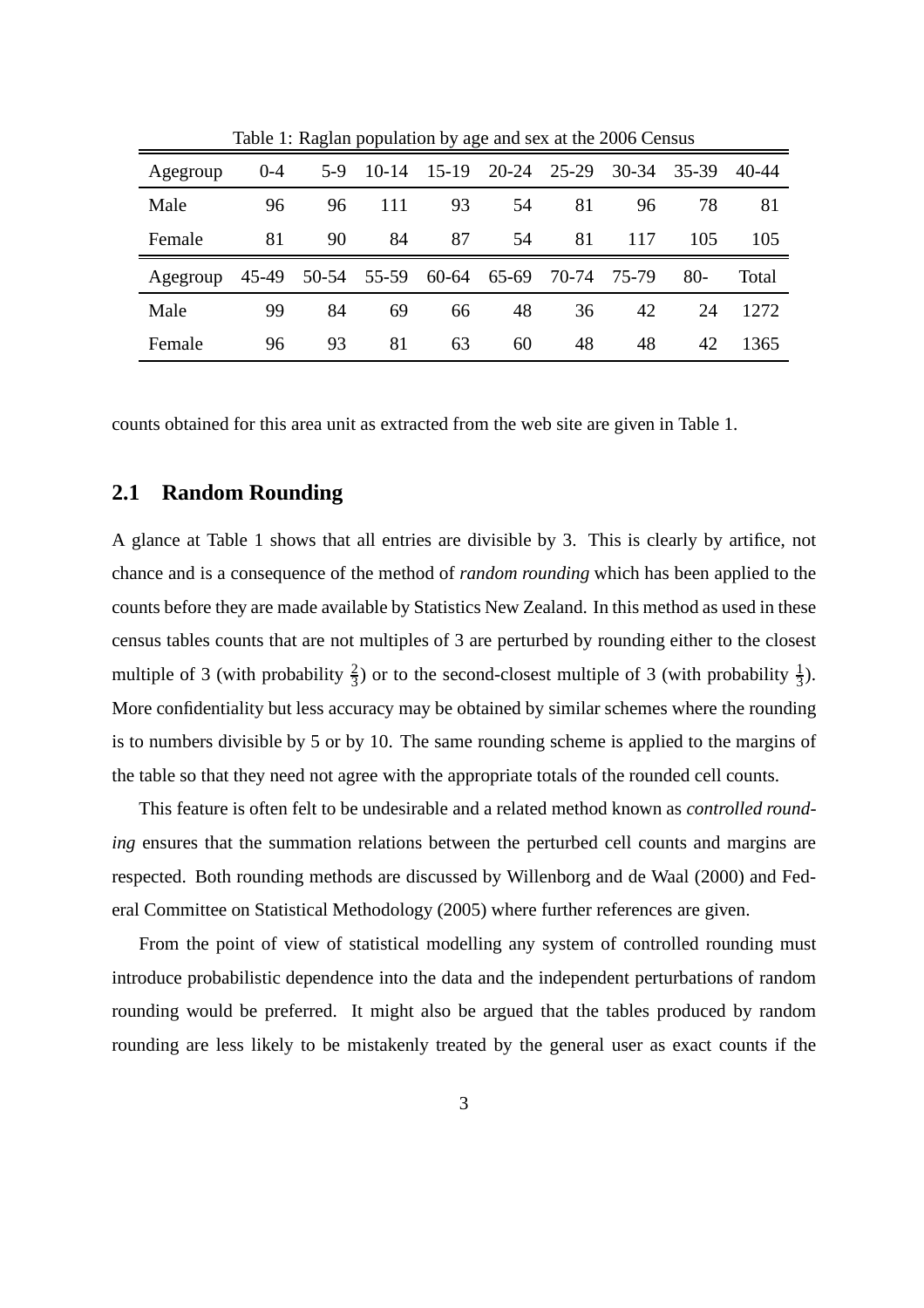| Tuble 1. Kughan population by age and sex at the 2000 Census |         |                                           |                             |    |    |    |       |             |       |
|--------------------------------------------------------------|---------|-------------------------------------------|-----------------------------|----|----|----|-------|-------------|-------|
| Agegroup                                                     | $0 - 4$ |                                           | 5-9 10-14 15-19 20-24 25-29 |    |    |    | 30-34 | 35-39 40-44 |       |
| Male                                                         | 96      | 96                                        | 111                         | 93 | 54 | 81 | 96    | 78          | 81    |
| Female                                                       | 81      | 90                                        | 84                          | 87 | 54 | 81 | 117   | 105         | 105   |
| Agegroup                                                     |         | 45-49 50-54 55-59 60-64 65-69 70-74 75-79 |                             |    |    |    |       | $80-$       | Total |
| Male                                                         | 99      | 84                                        | 69                          | 66 | 48 | 36 | 42    | 24          | 1272  |
| Female                                                       | 96      | 93                                        | 81                          | 63 | 60 | 48 | 48    | 42          | 1365  |

Table 1: Raglan population by age and sex at the 2006 Census

counts obtained for this area unit as extracted from the web site are given in Table 1.

#### **2.1 Random Rounding**

A glance at Table 1 shows that all entries are divisible by 3. This is clearly by artifice, not chance and is a consequence of the method of *random rounding* which has been applied to the counts before they are made available by Statistics New Zealand. In this method as used in these census tables counts that are not multiples of 3 are perturbed by rounding either to the closest multiple of 3 (with probability  $\frac{2}{3}$ ) or to the second-closest multiple of 3 (with probability  $\frac{1}{3}$ ). More confidentiality but less accuracy may be obtained by similar schemes where the rounding is to numbers divisible by 5 or by 10. The same rounding scheme is applied to the margins of the table so that they need not agree with the appropriate totals of the rounded cell counts.

This feature is often felt to be undesirable and a related method known as *controlled rounding* ensures that the summation relations between the perturbed cell counts and margins are respected. Both rounding methods are discussed by Willenborg and de Waal (2000) and Federal Committee on Statistical Methodology (2005) where further references are given.

From the point of view of statistical modelling any system of controlled rounding must introduce probabilistic dependence into the data and the independent perturbations of random rounding would be preferred. It might also be argued that the tables produced by random rounding are less likely to be mistakenly treated by the general user as exact counts if the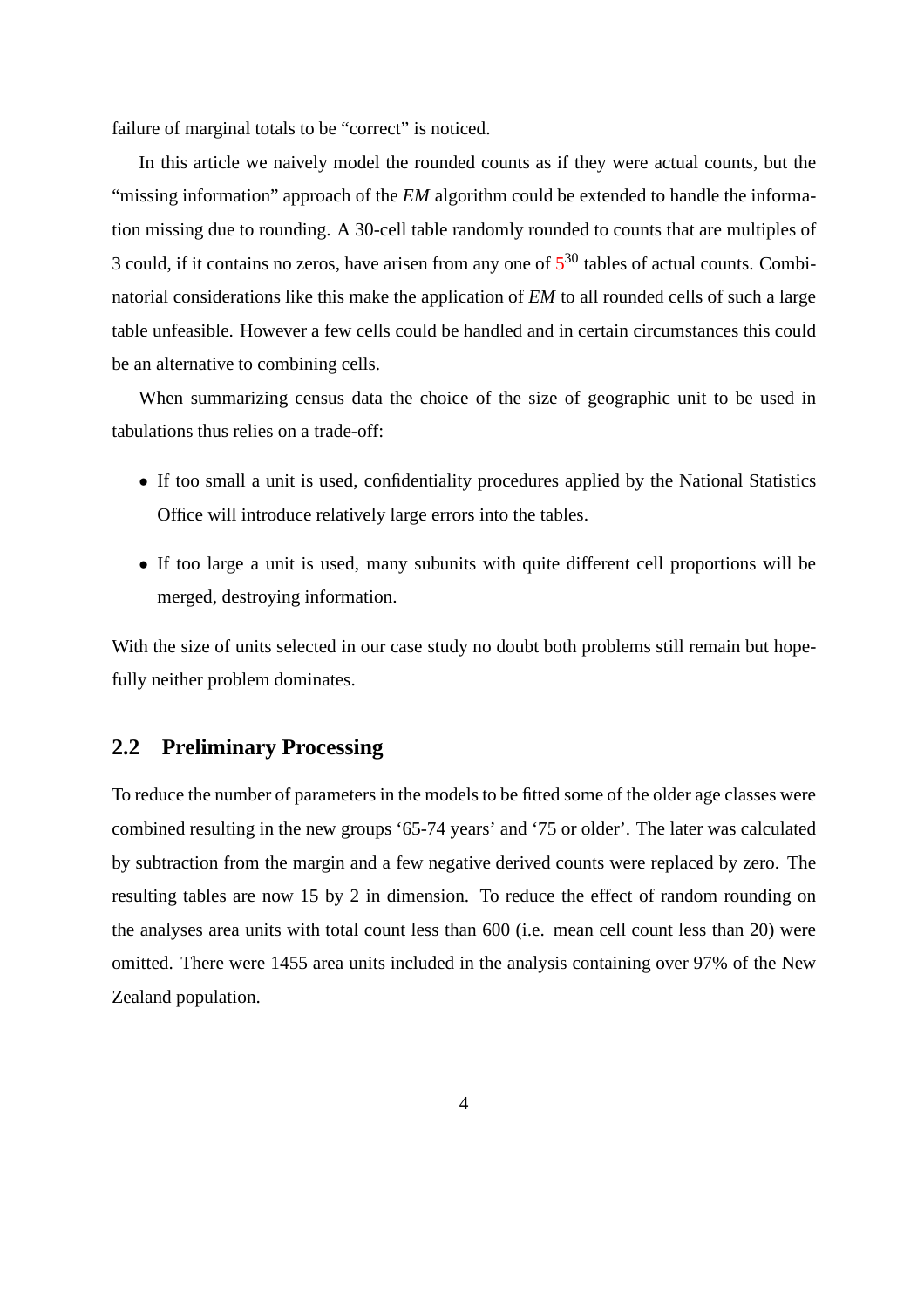failure of marginal totals to be "correct" is noticed.

In this article we naively model the rounded counts as if they were actual counts, but the "missing information" approach of the *EM* algorithm could be extended to handle the information missing due to rounding. A 30-cell table randomly rounded to counts that are multiples of 3 could, if it contains no zeros, have arisen from any one of  $5^{30}$  tables of actual counts. Combinatorial considerations like this make the application of *EM* to all rounded cells of such a large table unfeasible. However a few cells could be handled and in certain circumstances this could be an alternative to combining cells.

When summarizing census data the choice of the size of geographic unit to be used in tabulations thus relies on a trade-off:

- If too small a unit is used, confidentiality procedures applied by the National Statistics Office will introduce relatively large errors into the tables.
- If too large a unit is used, many subunits with quite different cell proportions will be merged, destroying information.

With the size of units selected in our case study no doubt both problems still remain but hopefully neither problem dominates.

#### **2.2 Preliminary Processing**

To reduce the number of parameters in the models to be fitted some of the older age classes were combined resulting in the new groups '65-74 years' and '75 or older'. The later was calculated by subtraction from the margin and a few negative derived counts were replaced by zero. The resulting tables are now 15 by 2 in dimension. To reduce the effect of random rounding on the analyses area units with total count less than 600 (i.e. mean cell count less than 20) were omitted. There were 1455 area units included in the analysis containing over 97% of the New Zealand population.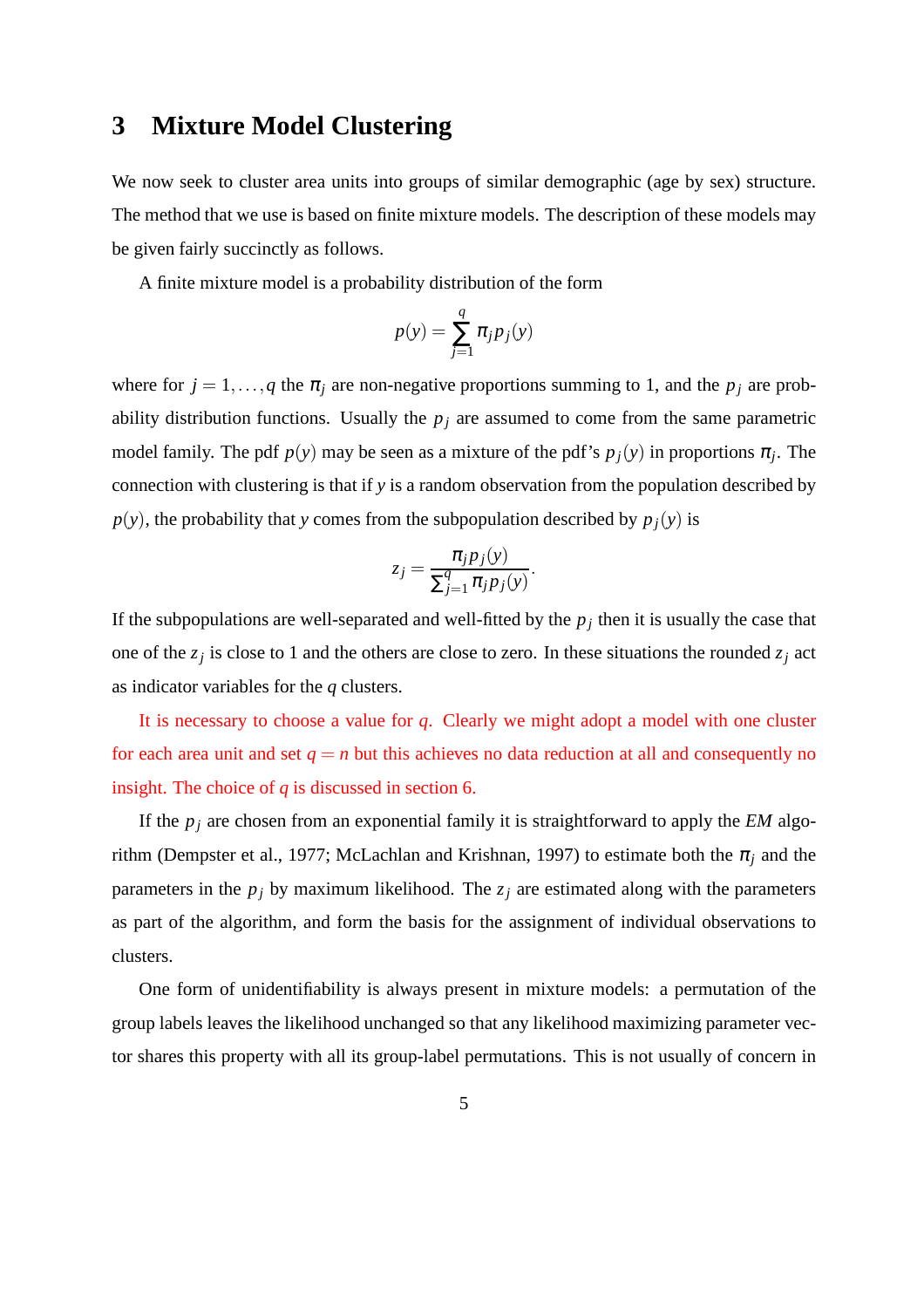## **3 Mixture Model Clustering**

We now seek to cluster area units into groups of similar demographic (age by sex) structure. The method that we use is based on finite mixture models. The description of these models may be given fairly succinctly as follows.

A finite mixture model is a probability distribution of the form

$$
p(y) = \sum_{j=1}^{q} \pi_j p_j(y)
$$

where for  $j = 1, \ldots, q$  the  $\pi_j$  are non-negative proportions summing to 1, and the  $p_j$  are probability distribution functions. Usually the  $p_j$  are assumed to come from the same parametric model family. The pdf  $p(y)$  may be seen as a mixture of the pdf's  $p_j(y)$  in proportions  $\pi_j$ . The connection with clustering is that if *y* is a random observation from the population described by  $p(y)$ , the probability that *y* comes from the subpopulation described by  $p_j(y)$  is

$$
z_j = \frac{\pi_j p_j(y)}{\sum_{j=1}^q \pi_j p_j(y)}.
$$

If the subpopulations are well-separated and well-fitted by the  $p_j$  then it is usually the case that one of the  $z_j$  is close to 1 and the others are close to zero. In these situations the rounded  $z_j$  act as indicator variables for the *q* clusters.

It is necessary to choose a value for *q*. Clearly we might adopt a model with one cluster for each area unit and set  $q = n$  but this achieves no data reduction at all and consequently no insight. The choice of *q* is discussed in section 6.

If the *p<sup>j</sup>* are chosen from an exponential family it is straightforward to apply the *EM* algorithm (Dempster et al., 1977; McLachlan and Krishnan, 1997) to estimate both the  $\pi_j$  and the parameters in the  $p_j$  by maximum likelihood. The  $z_j$  are estimated along with the parameters as part of the algorithm, and form the basis for the assignment of individual observations to clusters.

One form of unidentifiability is always present in mixture models: a permutation of the group labels leaves the likelihood unchanged so that any likelihood maximizing parameter vector shares this property with all its group-label permutations. This is not usually of concern in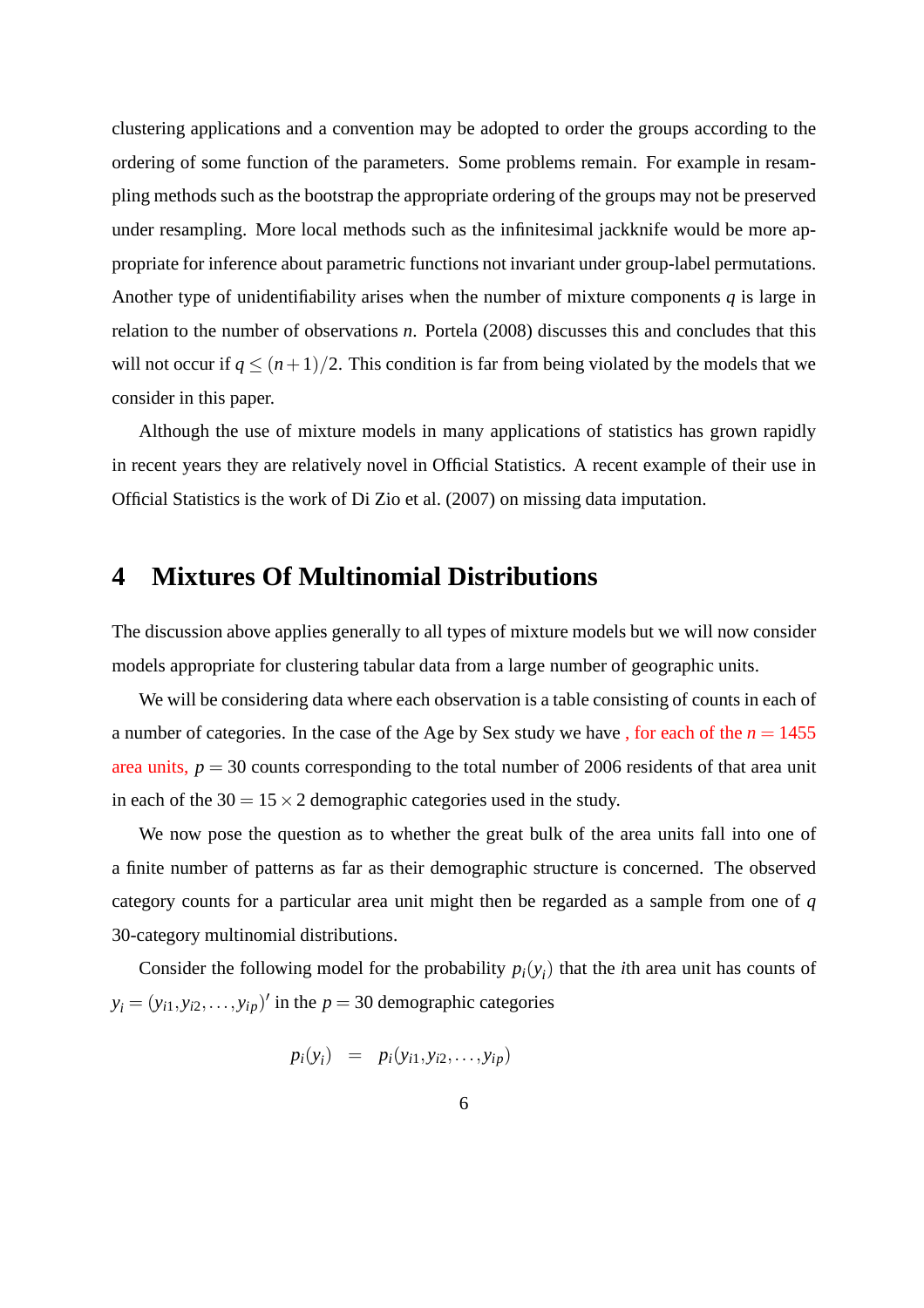clustering applications and a convention may be adopted to order the groups according to the ordering of some function of the parameters. Some problems remain. For example in resampling methods such as the bootstrap the appropriate ordering of the groups may not be preserved under resampling. More local methods such as the infinitesimal jackknife would be more appropriate for inference about parametric functions not invariant under group-label permutations. Another type of unidentifiability arises when the number of mixture components *q* is large in relation to the number of observations *n*. Portela (2008) discusses this and concludes that this will not occur if  $q \leq (n+1)/2$ . This condition is far from being violated by the models that we consider in this paper.

Although the use of mixture models in many applications of statistics has grown rapidly in recent years they are relatively novel in Official Statistics. A recent example of their use in Official Statistics is the work of Di Zio et al. (2007) on missing data imputation.

#### **4 Mixtures Of Multinomial Distributions**

The discussion above applies generally to all types of mixture models but we will now consider models appropriate for clustering tabular data from a large number of geographic units.

We will be considering data where each observation is a table consisting of counts in each of a number of categories. In the case of the Age by Sex study we have, for each of the  $n = 1455$ area units,  $p = 30$  counts corresponding to the total number of 2006 residents of that area unit in each of the  $30 = 15 \times 2$  demographic categories used in the study.

We now pose the question as to whether the great bulk of the area units fall into one of a finite number of patterns as far as their demographic structure is concerned. The observed category counts for a particular area unit might then be regarded as a sample from one of *q* 30-category multinomial distributions.

Consider the following model for the probability  $p_i(y_i)$  that the *i*th area unit has counts of  $y_i = (y_{i1}, y_{i2}, \dots, y_{ip})'$  in the *p* = 30 demographic categories

$$
p_i(y_i) = p_i(y_{i1}, y_{i2}, \ldots, y_{ip})
$$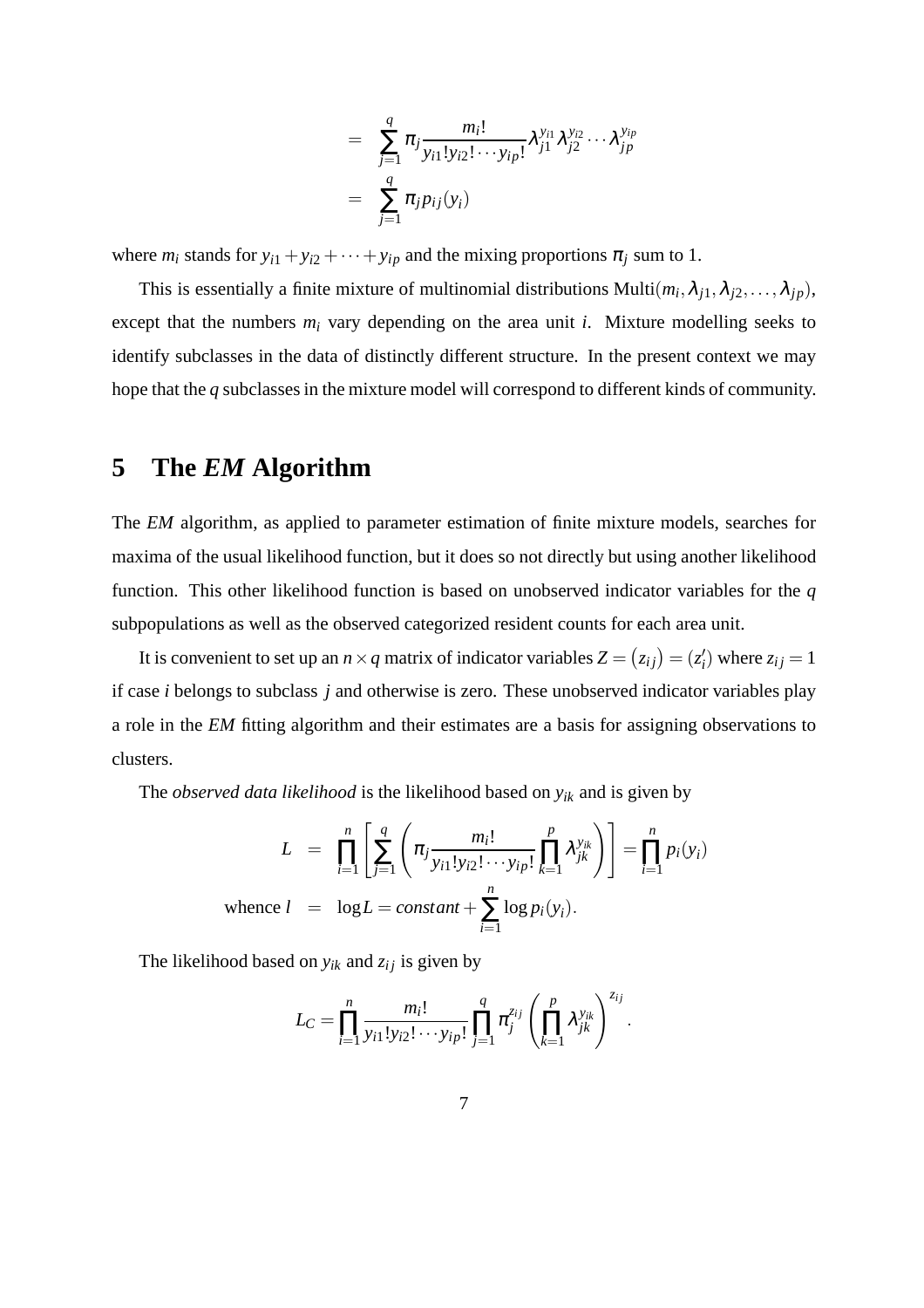$$
= \sum_{j=1}^{q} \pi_j \frac{m_i!}{y_{i1}! y_{i2}! \cdots y_{ip}!} \lambda_{j1}^{y_{i1}} \lambda_{j2}^{y_{i2}} \cdots \lambda_{jp}^{y_{ip}}
$$

$$
= \sum_{j=1}^{q} \pi_j p_{ij}(y_i)
$$

where  $m_i$  stands for  $y_{i1} + y_{i2} + \cdots + y_{ip}$  and the mixing proportions  $\pi_j$  sum to 1.

This is essentially a finite mixture of multinomial distributions Multi $(m_i, \lambda_{j1}, \lambda_{j2}, \dots, \lambda_{jp}),$ except that the numbers *m<sup>i</sup>* vary depending on the area unit *i*. Mixture modelling seeks to identify subclasses in the data of distinctly different structure. In the present context we may hope that the *q* subclasses in the mixture model will correspond to different kinds of community.

# **5 The** *EM* **Algorithm**

The *EM* algorithm, as applied to parameter estimation of finite mixture models, searches for maxima of the usual likelihood function, but it does so not directly but using another likelihood function. This other likelihood function is based on unobserved indicator variables for the *q* subpopulations as well as the observed categorized resident counts for each area unit.

It is convenient to set up an  $n \times q$  matrix of indicator variables  $Z = (z_{ij}) = (z'_i)$  $z_{ij}$  where  $z_{ij} = 1$ if case *i* belongs to subclass *j* and otherwise is zero. These unobserved indicator variables play a role in the *EM* fitting algorithm and their estimates are a basis for assigning observations to clusters.

The *observed data likelihood* is the likelihood based on *yik* and is given by

$$
L = \prod_{i=1}^{n} \left[ \sum_{j=1}^{q} \left( \pi_j \frac{m_i!}{y_{i1}! y_{i2}! \cdots y_{ip}!} \prod_{k=1}^{p} \lambda_{jk}^{y_{ik}} \right) \right] = \prod_{i=1}^{n} p_i(y_i)
$$
  
whence  $l = \log L = constant + \sum_{i=1}^{n} \log p_i(y_i)$ .

The likelihood based on  $y_{ik}$  and  $z_{ij}$  is given by

$$
L_C = \prod_{i=1}^n \frac{m_i!}{y_{i1}! y_{i2}! \cdots y_{ip}!} \prod_{j=1}^q \pi_j^{z_{ij}} \left( \prod_{k=1}^p \lambda_{jk}^{y_{ik}} \right)^{z_{ij}}.
$$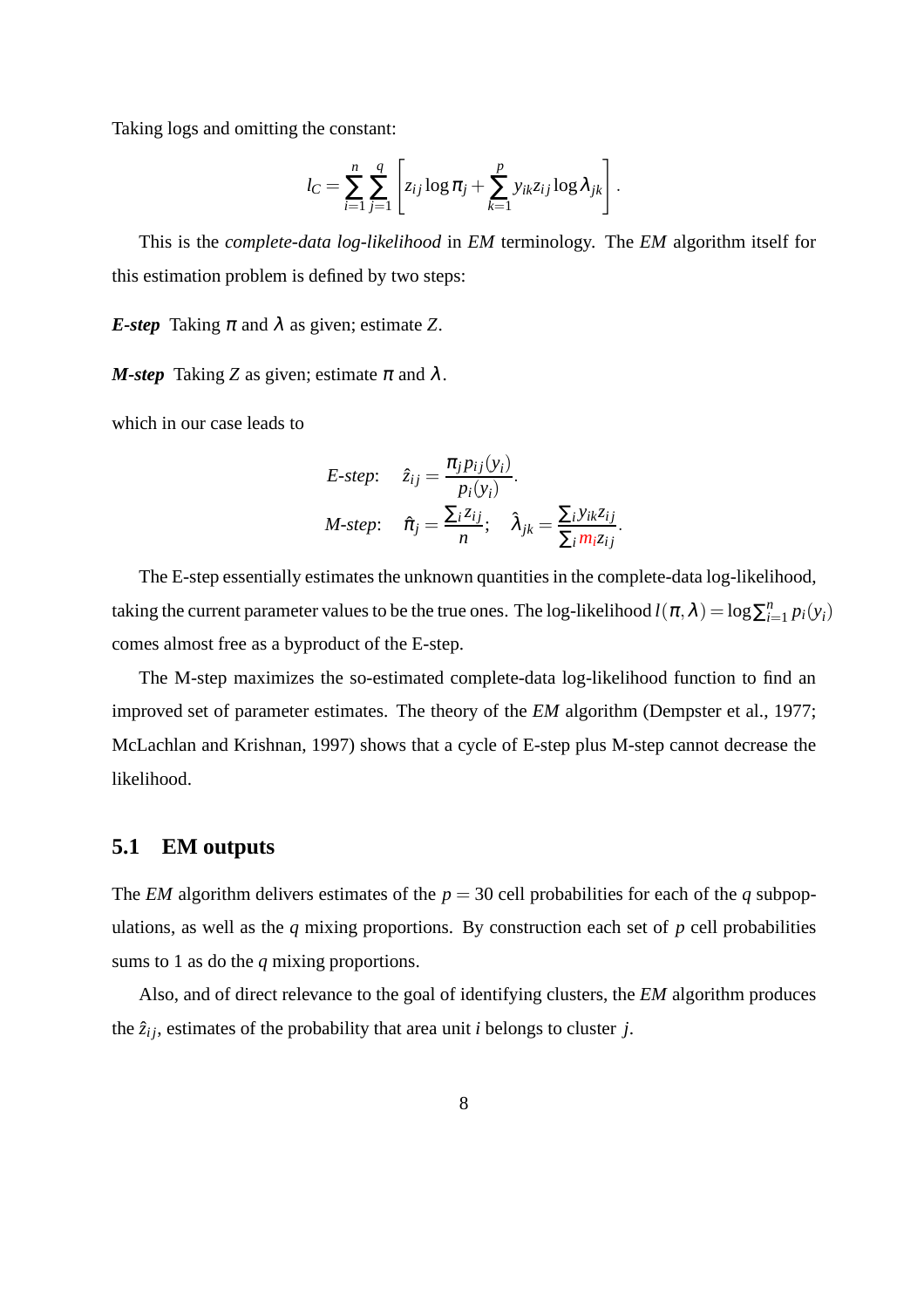Taking logs and omitting the constant:

$$
l_C = \sum_{i=1}^n \sum_{j=1}^q \left[ z_{ij} \log \pi_j + \sum_{k=1}^p y_{ik} z_{ij} \log \lambda_{jk} \right].
$$

This is the *complete-data log-likelihood* in *EM* terminology. The *EM* algorithm itself for this estimation problem is defined by two steps:

*E-step* Taking  $\pi$  and  $\lambda$  as given; estimate *Z*.

*M-step* Taking *Z* as given; estimate  $\pi$  and  $\lambda$ .

which in our case leads to

*E-step:* 
$$
\hat{z}_{ij} = \frac{\pi_j p_{ij}(y_i)}{p_i(y_i)}
$$
.  
*M-step:*  $\hat{\pi}_j = \frac{\sum_i z_{ij}}{n}$ ;  $\hat{\lambda}_{jk} = \frac{\sum_i y_{ik} z_{ij}}{\sum_i m_i z_{ij}}$ .

The E-step essentially estimates the unknown quantities in the complete-data log-likelihood, taking the current parameter values to be the true ones. The log-likelihood  $l(\pi, \lambda) = \log \sum_{i=1}^n l_i$  $\sum_{i=1}^n p_i(y_i)$ comes almost free as a byproduct of the E-step.

The M-step maximizes the so-estimated complete-data log-likelihood function to find an improved set of parameter estimates. The theory of the *EM* algorithm (Dempster et al., 1977; McLachlan and Krishnan, 1997) shows that a cycle of E-step plus M-step cannot decrease the likelihood.

#### **5.1 EM outputs**

The *EM* algorithm delivers estimates of the  $p = 30$  cell probabilities for each of the *q* subpopulations, as well as the *q* mixing proportions. By construction each set of *p* cell probabilities sums to 1 as do the *q* mixing proportions.

Also, and of direct relevance to the goal of identifying clusters, the *EM* algorithm produces the  $\hat{z}_{ij}$ , estimates of the probability that area unit *i* belongs to cluster *j*.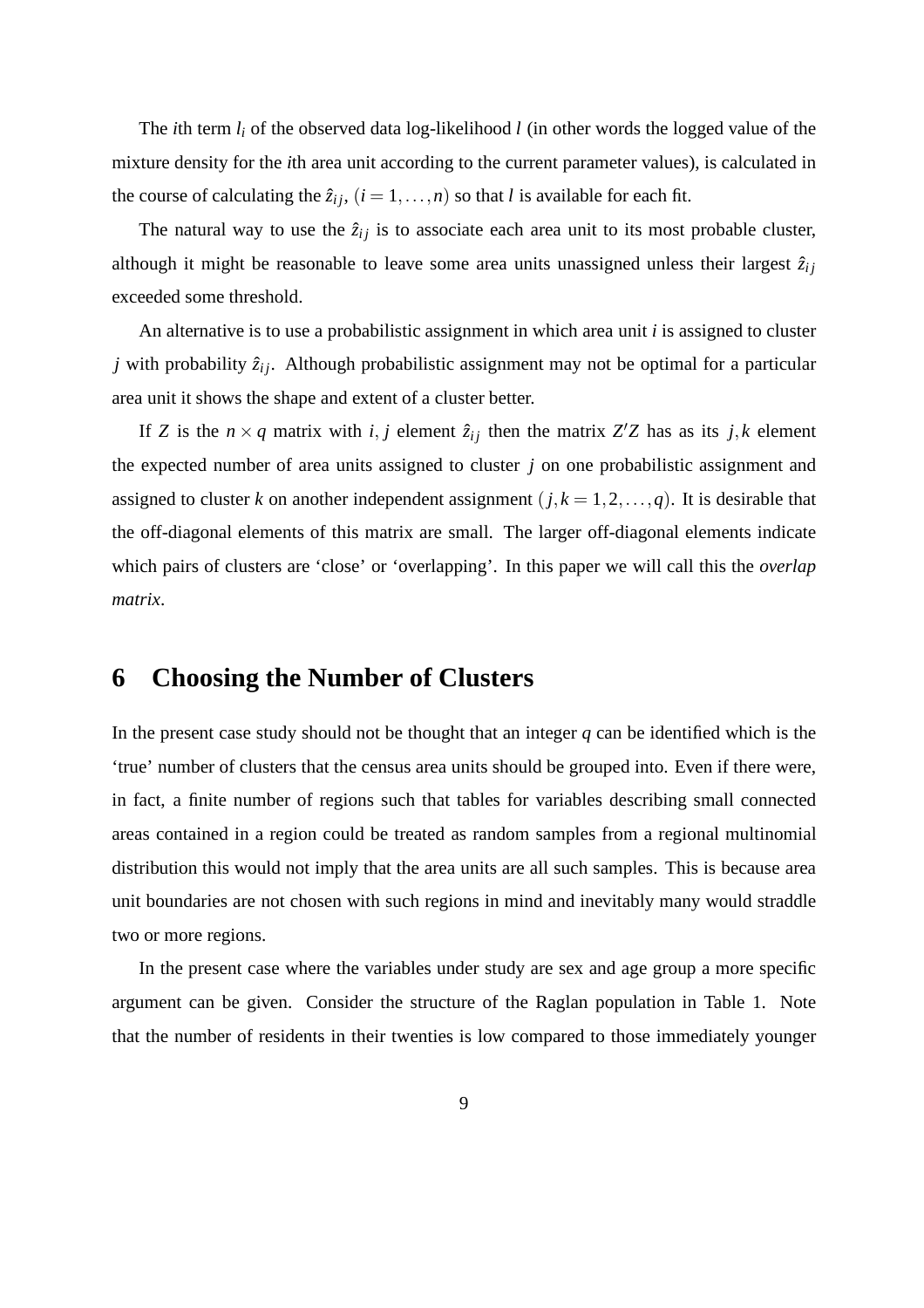The *i*th term *l<sup>i</sup>* of the observed data log-likelihood *l* (in other words the logged value of the mixture density for the *i*th area unit according to the current parameter values), is calculated in the course of calculating the  $\hat{z}_{ij}$ ,  $(i = 1, ..., n)$  so that *l* is available for each fit.

The natural way to use the  $\hat{z}_{ij}$  is to associate each area unit to its most probable cluster, although it might be reasonable to leave some area units unassigned unless their largest  $\hat{z}_{ij}$ exceeded some threshold.

An alternative is to use a probabilistic assignment in which area unit *i* is assigned to cluster *j* with probability  $\hat{z}_{ij}$ . Although probabilistic assignment may not be optimal for a particular area unit it shows the shape and extent of a cluster better.

If *Z* is the  $n \times q$  matrix with *i*, *j* element  $\hat{z}_{ij}$  then the matrix *Z'Z* has as its *j*, *k* element the expected number of area units assigned to cluster *j* on one probabilistic assignment and assigned to cluster *k* on another independent assignment  $(j, k = 1, 2, ..., q)$ . It is desirable that the off-diagonal elements of this matrix are small. The larger off-diagonal elements indicate which pairs of clusters are 'close' or 'overlapping'. In this paper we will call this the *overlap matrix*.

# **6 Choosing the Number of Clusters**

In the present case study should not be thought that an integer *q* can be identified which is the 'true' number of clusters that the census area units should be grouped into. Even if there were, in fact, a finite number of regions such that tables for variables describing small connected areas contained in a region could be treated as random samples from a regional multinomial distribution this would not imply that the area units are all such samples. This is because area unit boundaries are not chosen with such regions in mind and inevitably many would straddle two or more regions.

In the present case where the variables under study are sex and age group a more specific argument can be given. Consider the structure of the Raglan population in Table 1. Note that the number of residents in their twenties is low compared to those immediately younger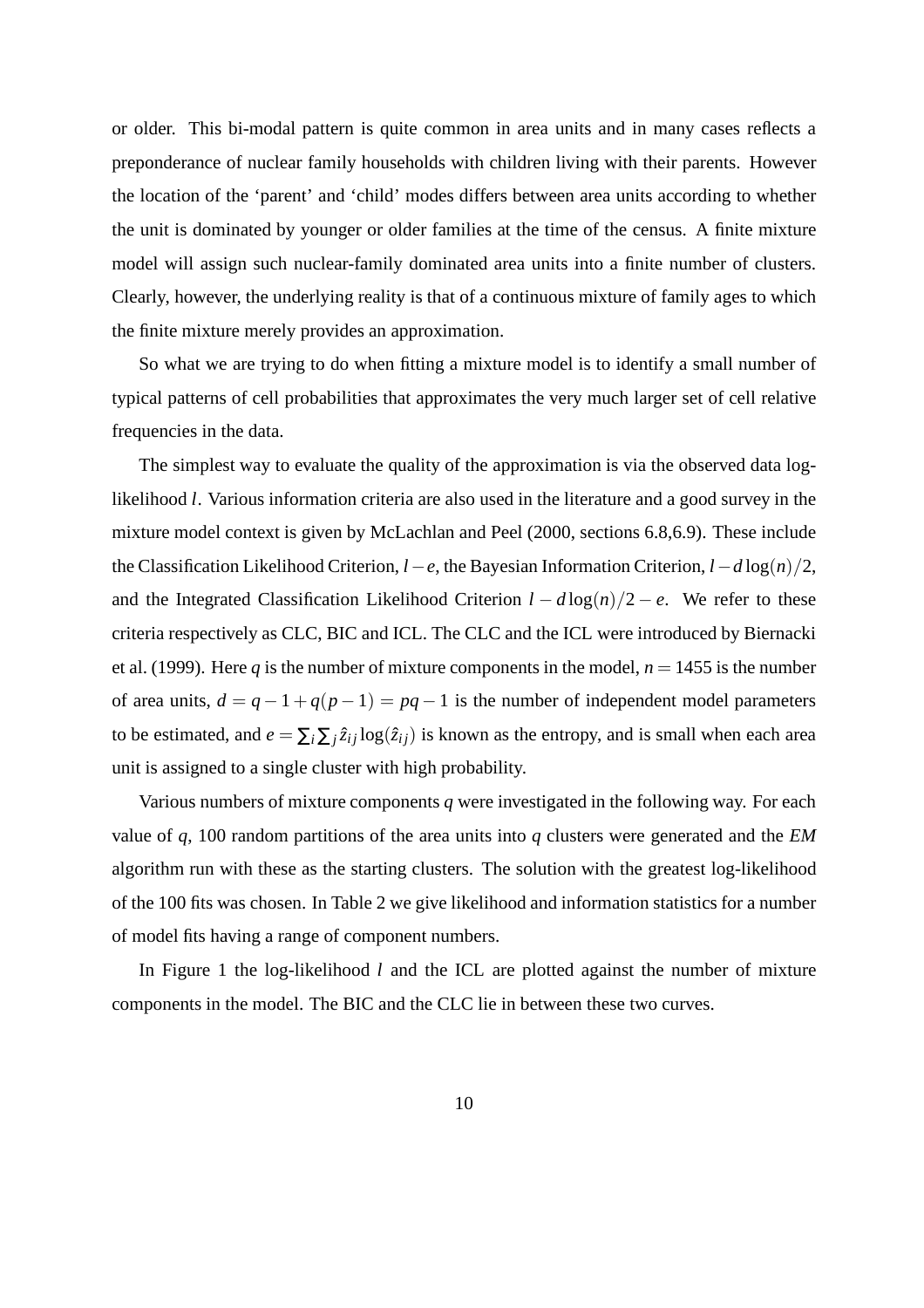or older. This bi-modal pattern is quite common in area units and in many cases reflects a preponderance of nuclear family households with children living with their parents. However the location of the 'parent' and 'child' modes differs between area units according to whether the unit is dominated by younger or older families at the time of the census. A finite mixture model will assign such nuclear-family dominated area units into a finite number of clusters. Clearly, however, the underlying reality is that of a continuous mixture of family ages to which the finite mixture merely provides an approximation.

So what we are trying to do when fitting a mixture model is to identify a small number of typical patterns of cell probabilities that approximates the very much larger set of cell relative frequencies in the data.

The simplest way to evaluate the quality of the approximation is via the observed data loglikelihood *l*. Various information criteria are also used in the literature and a good survey in the mixture model context is given by McLachlan and Peel (2000, sections 6.8,6.9). These include the Classification Likelihood Criterion, *l*−*e*, the Bayesian Information Criterion, *l*−*d* log(*n*)/2, and the Integrated Classification Likelihood Criterion  $l - d \log(n)/2 - e$ . We refer to these criteria respectively as CLC, BIC and ICL. The CLC and the ICL were introduced by Biernacki et al. (1999). Here *q* is the number of mixture components in the model,  $n = 1455$  is the number of area units,  $d = q - 1 + q(p - 1) = pq - 1$  is the number of independent model parameters to be estimated, and  $e = \sum_i \sum_j \hat{z}_{ij} \log(\hat{z}_{ij})$  is known as the entropy, and is small when each area unit is assigned to a single cluster with high probability.

Various numbers of mixture components *q* were investigated in the following way. For each value of *q*, 100 random partitions of the area units into *q* clusters were generated and the *EM* algorithm run with these as the starting clusters. The solution with the greatest log-likelihood of the 100 fits was chosen. In Table 2 we give likelihood and information statistics for a number of model fits having a range of component numbers.

In Figure 1 the log-likelihood *l* and the ICL are plotted against the number of mixture components in the model. The BIC and the CLC lie in between these two curves.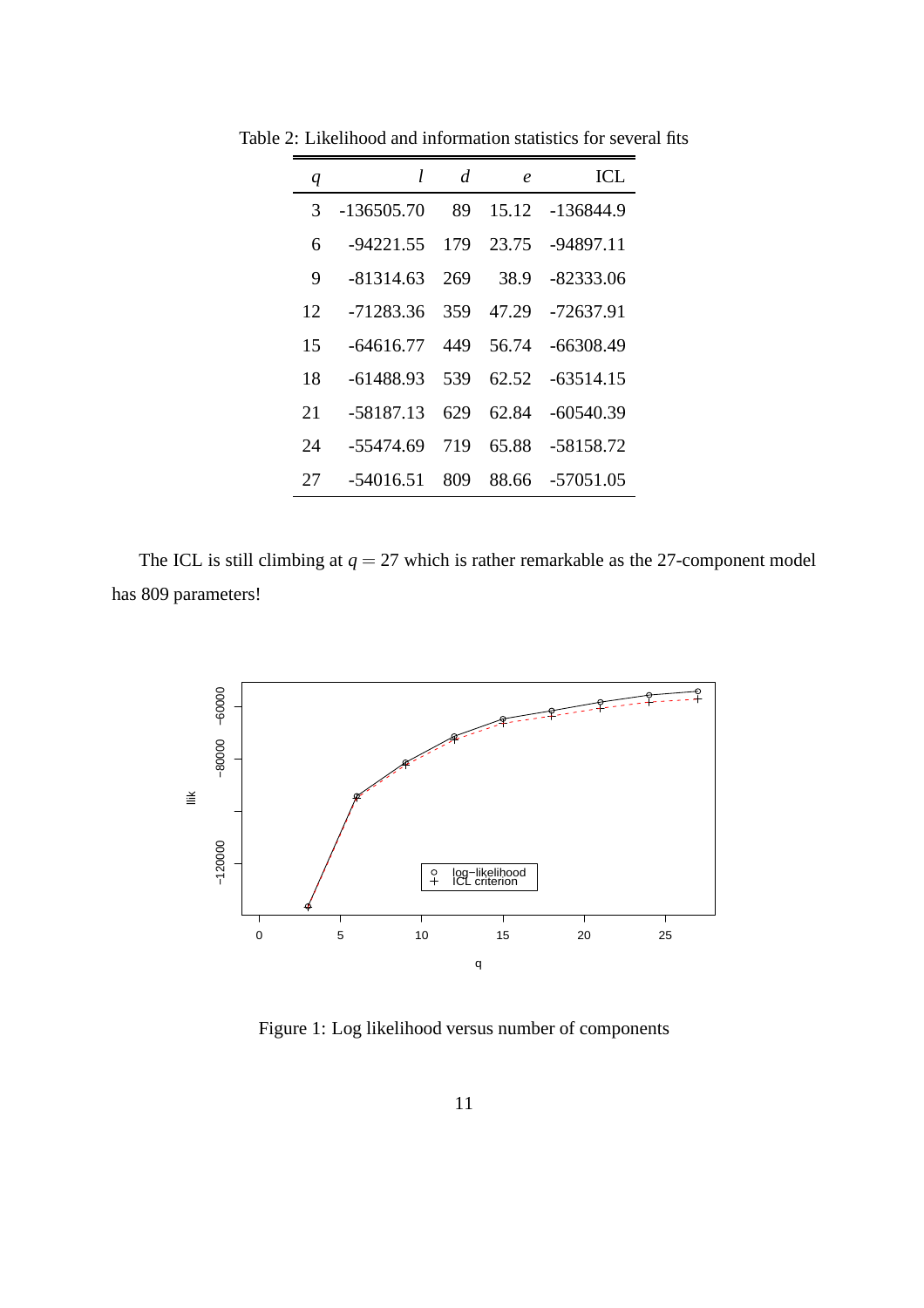| q  | l            | d   | $\boldsymbol{e}$ | ICL.        |
|----|--------------|-----|------------------|-------------|
| 3  | $-136505.70$ | 89  | 15.12            | -136844.9   |
| 6  | $-94221.55$  | 179 | 23.75            | $-94897.11$ |
| 9  | $-81314.63$  | 269 | 38.9             | -82333.06   |
| 12 | -71283.36    | 359 | 47.29            | -72637.91   |
| 15 | $-64616.77$  | 449 | 56.74            | $-66308.49$ |
| 18 | -61488.93    | 539 | 62.52            | $-63514.15$ |
| 21 | -58187.13    | 629 | 62.84            | $-60540.39$ |
| 24 | -55474.69    | 719 | 65.88            | -58158.72   |
| 27 | -54016.51    | 809 | 88.66            | -57051.05   |

Table 2: Likelihood and information statistics for several fits

The ICL is still climbing at  $q = 27$  which is rather remarkable as the 27-component model has 809 parameters!



Figure 1: Log likelihood versus number of components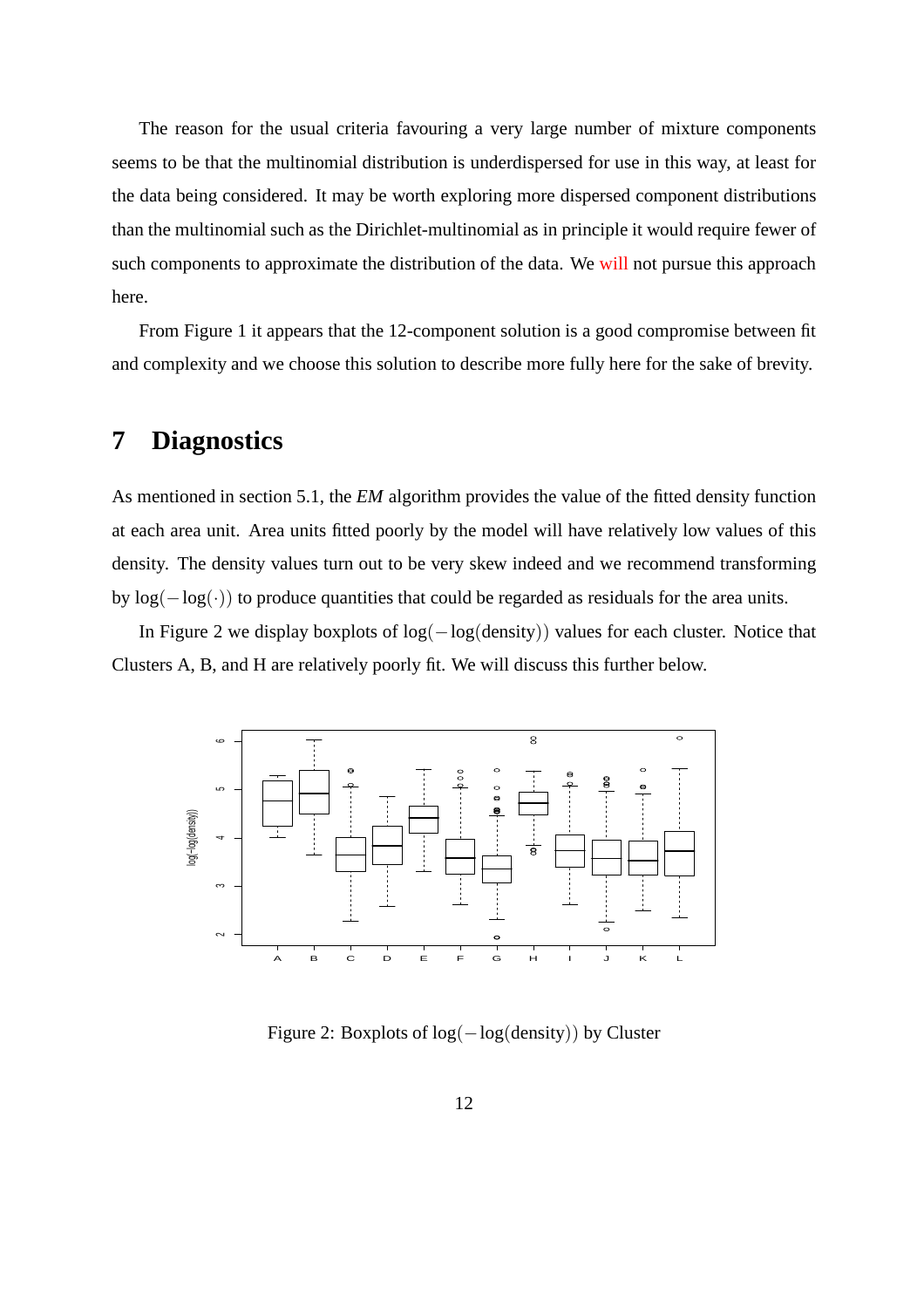The reason for the usual criteria favouring a very large number of mixture components seems to be that the multinomial distribution is underdispersed for use in this way, at least for the data being considered. It may be worth exploring more dispersed component distributions than the multinomial such as the Dirichlet-multinomial as in principle it would require fewer of such components to approximate the distribution of the data. We will not pursue this approach here.

From Figure 1 it appears that the 12-component solution is a good compromise between fit and complexity and we choose this solution to describe more fully here for the sake of brevity.

# **7 Diagnostics**

As mentioned in section 5.1, the *EM* algorithm provides the value of the fitted density function at each area unit. Area units fitted poorly by the model will have relatively low values of this density. The density values turn out to be very skew indeed and we recommend transforming by  $log(-log(\cdot))$  to produce quantities that could be regarded as residuals for the area units.

In Figure 2 we display boxplots of log(−log(density)) values for each cluster. Notice that Clusters A, B, and H are relatively poorly fit. We will discuss this further below.



Figure 2: Boxplots of log(−log(density)) by Cluster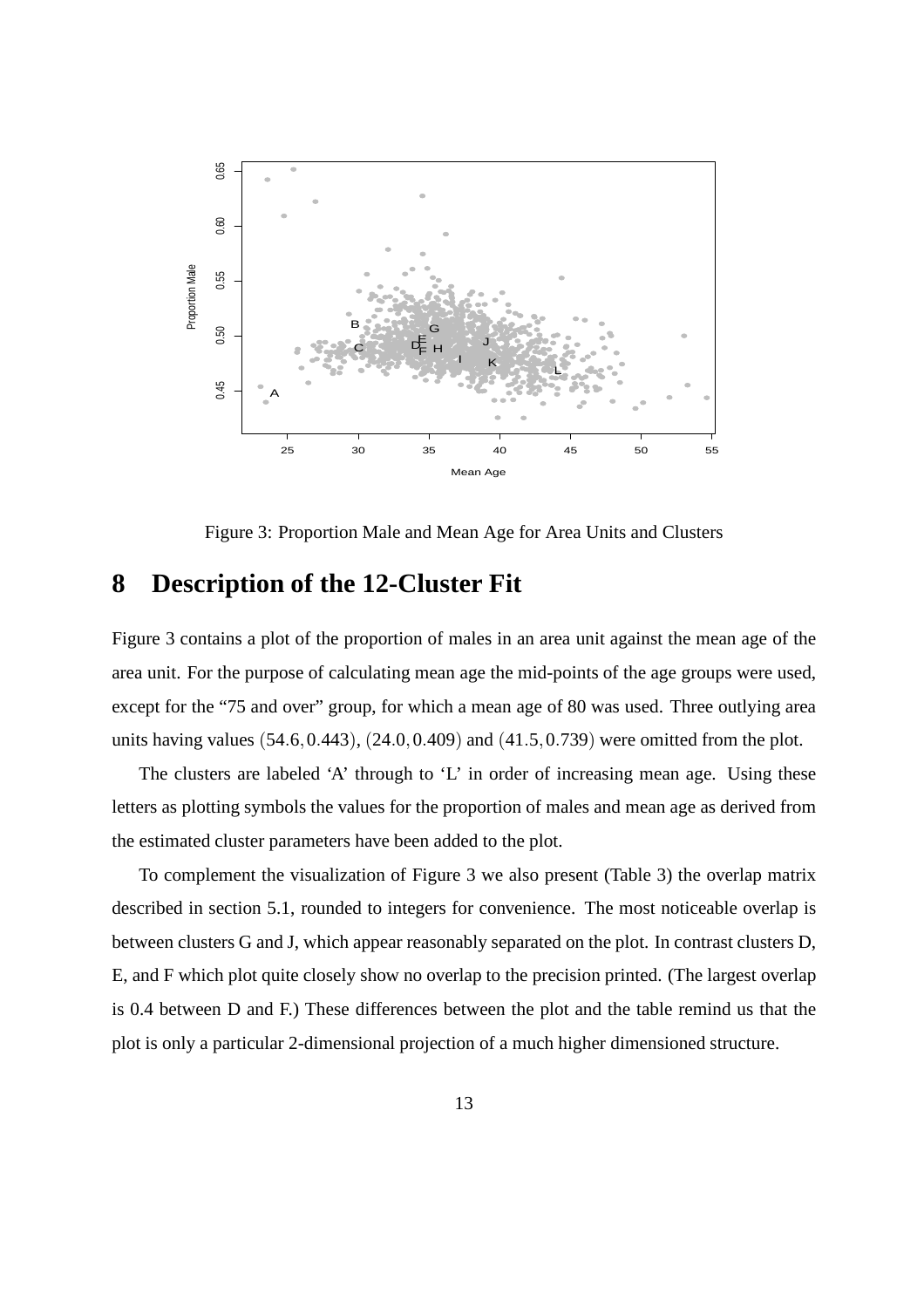

Figure 3: Proportion Male and Mean Age for Area Units and Clusters

## **8 Description of the 12-Cluster Fit**

Figure 3 contains a plot of the proportion of males in an area unit against the mean age of the area unit. For the purpose of calculating mean age the mid-points of the age groups were used, except for the "75 and over" group, for which a mean age of 80 was used. Three outlying area units having values (54.6,0.443), (24.0,0.409) and (41.5,0.739) were omitted from the plot.

The clusters are labeled 'A' through to 'L' in order of increasing mean age. Using these letters as plotting symbols the values for the proportion of males and mean age as derived from the estimated cluster parameters have been added to the plot.

To complement the visualization of Figure 3 we also present (Table 3) the overlap matrix described in section 5.1, rounded to integers for convenience. The most noticeable overlap is between clusters G and J, which appear reasonably separated on the plot. In contrast clusters D, E, and F which plot quite closely show no overlap to the precision printed. (The largest overlap is 0.4 between D and F.) These differences between the plot and the table remind us that the plot is only a particular 2-dimensional projection of a much higher dimensioned structure.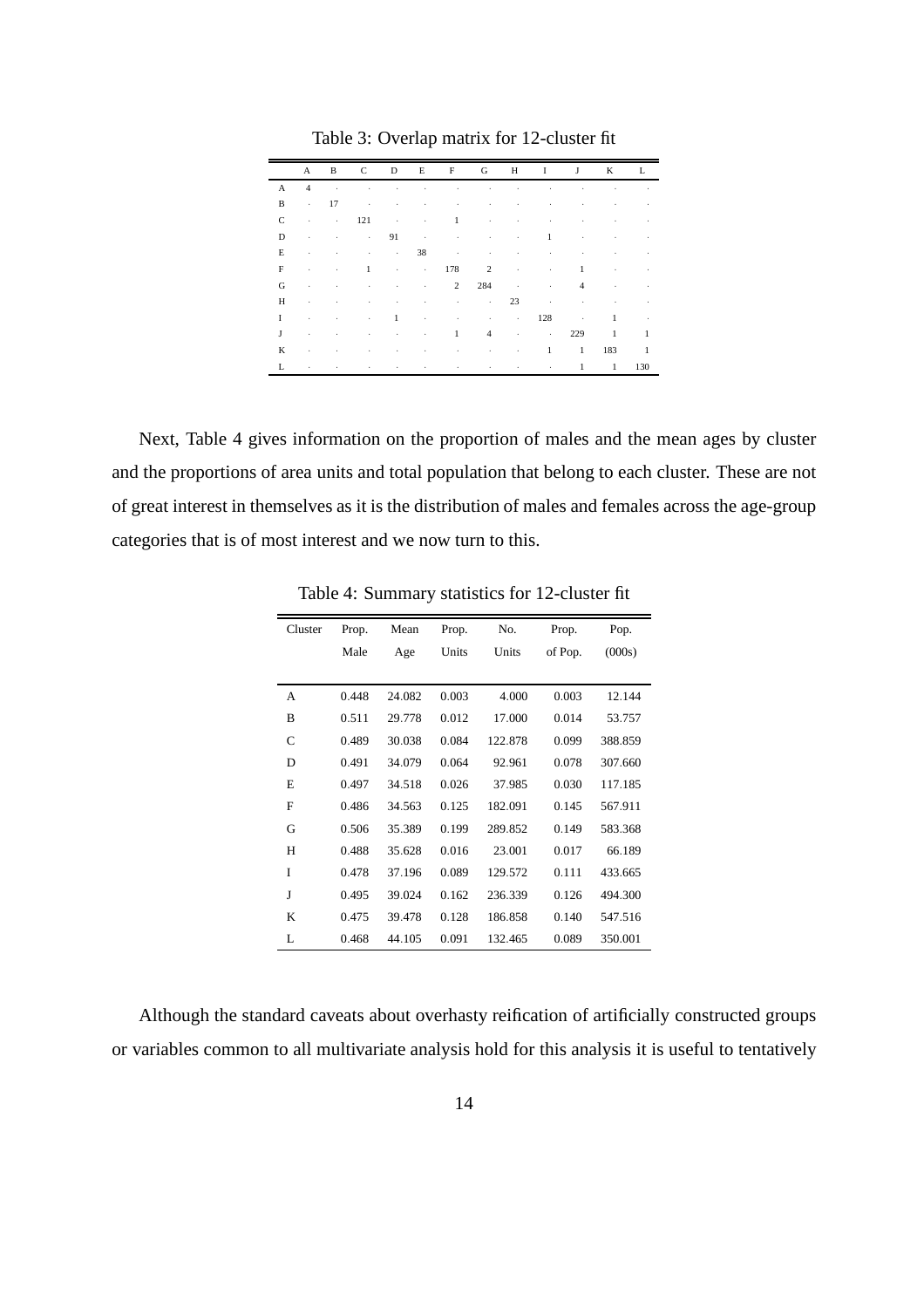|              | A              | B               |                                 |                   |                          |                   |                            |                 |                    | C D E F G H I J | K L          |              |
|--------------|----------------|-----------------|---------------------------------|-------------------|--------------------------|-------------------|----------------------------|-----------------|--------------------|-----------------|--------------|--------------|
| $\mathbf{A}$ | $\overline{4}$ | <b>Contract</b> | the contract of the contract of |                   |                          | <b>Contractor</b> | and the state of the state |                 | $\sim$ 100 $\pm$   | ٠               | $\sim$       | ٠            |
| B            | $\sim$         | 17              | $\cdot$                         | ٠                 | ٠                        | ٠                 | ×.                         | $\cdot$         | ٠                  | ٠               | ٠            |              |
| C            | ×              |                 | $\cdot$ 121                     | <b>Contractor</b> | ٠                        | $\mathbf{1}$      | ٠                          | ٠               | ٠                  | ٠               |              |              |
| D            | ×              | $\cdot$         | $\cdot$ 91                      |                   | <b>Contractor</b>        | $\sim$ 100 $\pm$  | ٠                          | $\cdot$         | 1                  | ٠               |              |              |
| Е            | ٠              | ٠               |                                 | All Contractors   | 38                       | <b>Contractor</b> | $\sim$                     | $\cdot$         | <b>All Control</b> | ٠               | ٠            |              |
| F            | ٠              | ٠               | $\mathbf{1}$                    |                   | the contract of the con- |                   | 178 2                      | <b>Contract</b> | $\epsilon$         | $\mathbf{1}$    | ٠            |              |
| G            | ٠              | ٠               | $\cdot$                         | ٠                 | $\cdot$                  | $2 \t 284$ .      |                            |                 | $\sim$             | $\overline{4}$  | ٠            |              |
| H            | ٠              | ×,              | ٠                               | ٠                 | ٠                        | $\epsilon$        | <b>Contractor</b>          | 23              | $\sim$             | ٠               | ×.           |              |
| T            | ٠              | ٠               | $\cdot$                         | $\mathbf{1}$      | <b>Contractor</b>        | ٠                 | $\epsilon$                 | $\cdot$ 128     |                    | $\sim$          | 1            |              |
| J            | ٠              | ٠               | ٠                               |                   | All Control Andrew       | 1                 | $\overline{4}$             |                 | and the company of | 229             | $\mathbf{1}$ | $\mathbf{1}$ |
| K            | ٠              | ×,              | ٠                               | ٠                 | ٠                        | ٠                 | ٠                          | $\cdot$         | $\mathbf{1}$       | 1 183           |              | -1           |
| L            |                | ٠               |                                 |                   |                          |                   |                            | ٠               | ٠                  | 1               | $\mathbf{1}$ | 130          |

Table 3: Overlap matrix for 12-cluster fit

Next, Table 4 gives information on the proportion of males and the mean ages by cluster and the proportions of area units and total population that belong to each cluster. These are not of great interest in themselves as it is the distribution of males and females across the age-group categories that is of most interest and we now turn to this.

| Cluster | Prop. | Mean   | Prop. | No.     | Prop.   | Pop.    |  |
|---------|-------|--------|-------|---------|---------|---------|--|
|         | Male  | Age    | Units | Units   | of Pop. | (000s)  |  |
|         |       |        |       |         |         |         |  |
| A       | 0.448 | 24.082 | 0.003 | 4.000   | 0.003   | 12.144  |  |
| B       | 0.511 | 29.778 | 0.012 | 17.000  | 0.014   | 53.757  |  |
| C       | 0.489 | 30.038 | 0.084 | 122.878 | 0.099   | 388.859 |  |
| D       | 0.491 | 34.079 | 0.064 | 92.961  | 0.078   | 307.660 |  |
| E       | 0.497 | 34.518 | 0.026 | 37.985  | 0.030   | 117.185 |  |
| F       | 0.486 | 34.563 | 0.125 | 182.091 | 0.145   | 567.911 |  |
| G       | 0.506 | 35.389 | 0.199 | 289.852 | 0.149   | 583.368 |  |
| Н       | 0.488 | 35.628 | 0.016 | 23.001  | 0.017   | 66.189  |  |
| I       | 0.478 | 37.196 | 0.089 | 129.572 | 0.111   | 433.665 |  |
| J       | 0.495 | 39.024 | 0.162 | 236.339 | 0.126   | 494.300 |  |
| K       | 0.475 | 39.478 | 0.128 | 186.858 | 0.140   | 547.516 |  |
| L       | 0.468 | 44.105 | 0.091 | 132.465 | 0.089   | 350.001 |  |

Table 4: Summary statistics for 12-cluster fit

Although the standard caveats about overhasty reification of artificially constructed groups or variables common to all multivariate analysis hold for this analysis it is useful to tentatively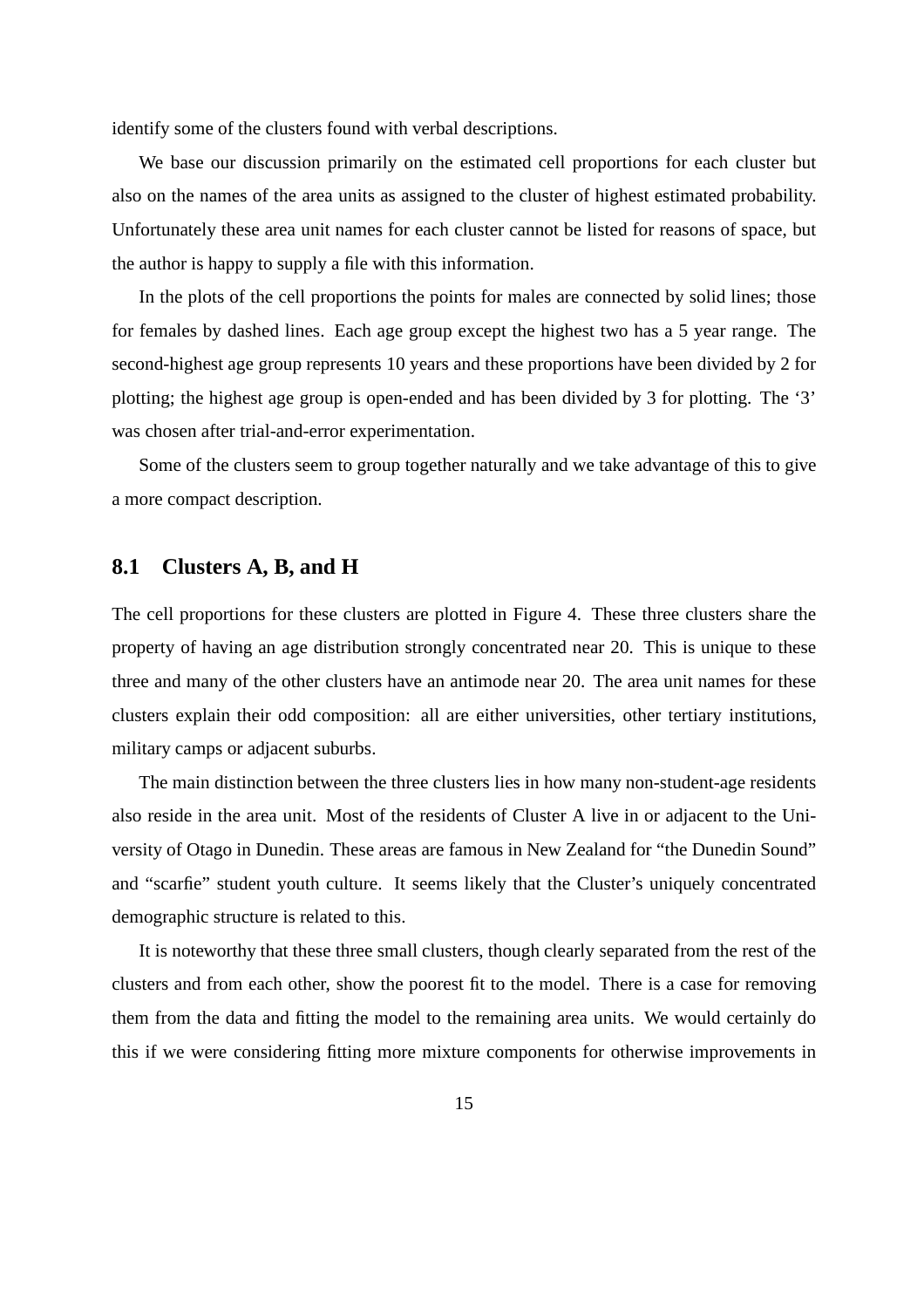identify some of the clusters found with verbal descriptions.

We base our discussion primarily on the estimated cell proportions for each cluster but also on the names of the area units as assigned to the cluster of highest estimated probability. Unfortunately these area unit names for each cluster cannot be listed for reasons of space, but the author is happy to supply a file with this information.

In the plots of the cell proportions the points for males are connected by solid lines; those for females by dashed lines. Each age group except the highest two has a 5 year range. The second-highest age group represents 10 years and these proportions have been divided by 2 for plotting; the highest age group is open-ended and has been divided by 3 for plotting. The '3' was chosen after trial-and-error experimentation.

Some of the clusters seem to group together naturally and we take advantage of this to give a more compact description.

#### **8.1 Clusters A, B, and H**

The cell proportions for these clusters are plotted in Figure 4. These three clusters share the property of having an age distribution strongly concentrated near 20. This is unique to these three and many of the other clusters have an antimode near 20. The area unit names for these clusters explain their odd composition: all are either universities, other tertiary institutions, military camps or adjacent suburbs.

The main distinction between the three clusters lies in how many non-student-age residents also reside in the area unit. Most of the residents of Cluster A live in or adjacent to the University of Otago in Dunedin. These areas are famous in New Zealand for "the Dunedin Sound" and "scarfie" student youth culture. It seems likely that the Cluster's uniquely concentrated demographic structure is related to this.

It is noteworthy that these three small clusters, though clearly separated from the rest of the clusters and from each other, show the poorest fit to the model. There is a case for removing them from the data and fitting the model to the remaining area units. We would certainly do this if we were considering fitting more mixture components for otherwise improvements in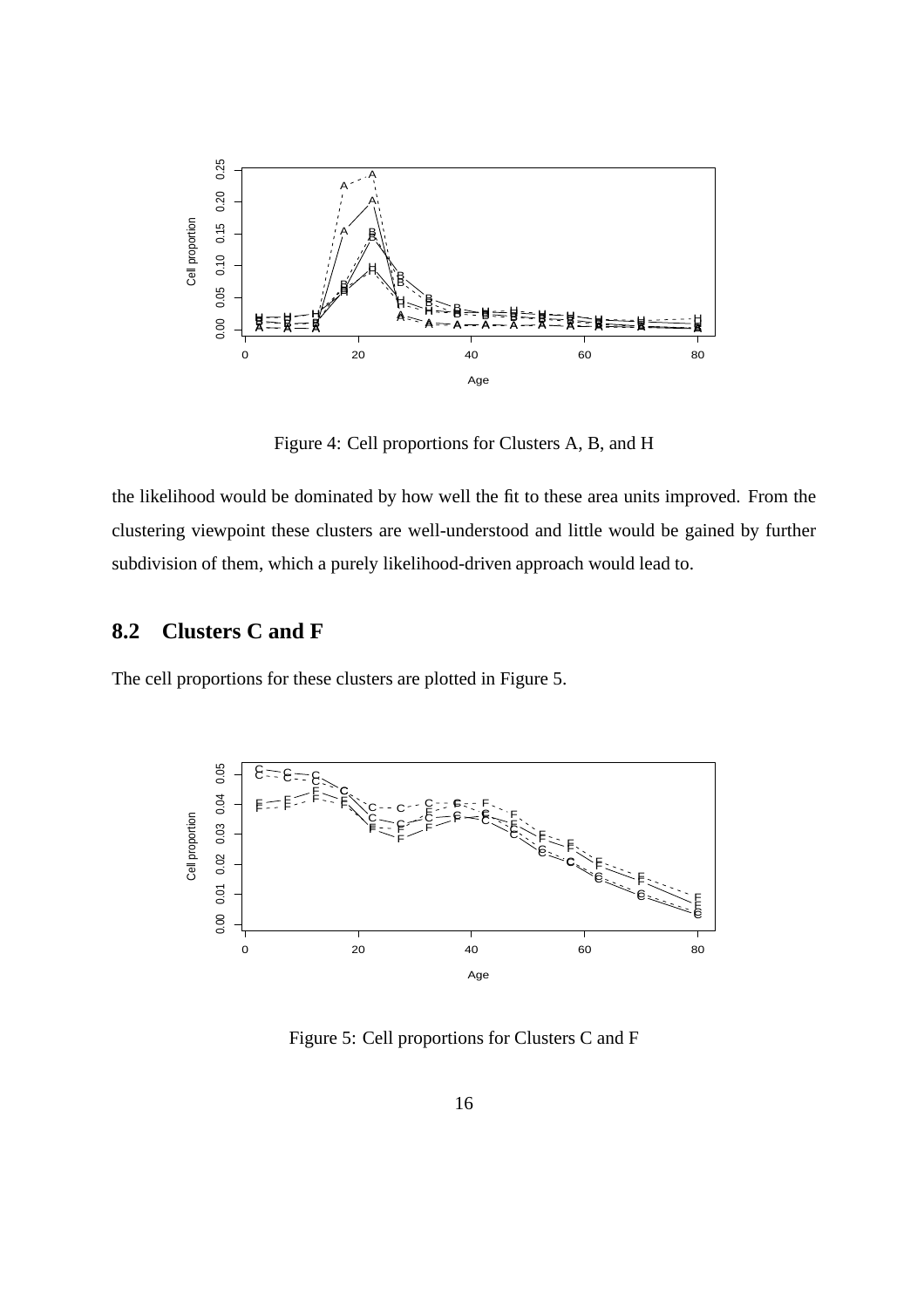

Figure 4: Cell proportions for Clusters A, B, and H

the likelihood would be dominated by how well the fit to these area units improved. From the clustering viewpoint these clusters are well-understood and little would be gained by further subdivision of them, which a purely likelihood-driven approach would lead to.

#### **8.2 Clusters C and F**

The cell proportions for these clusters are plotted in Figure 5.



Figure 5: Cell proportions for Clusters C and F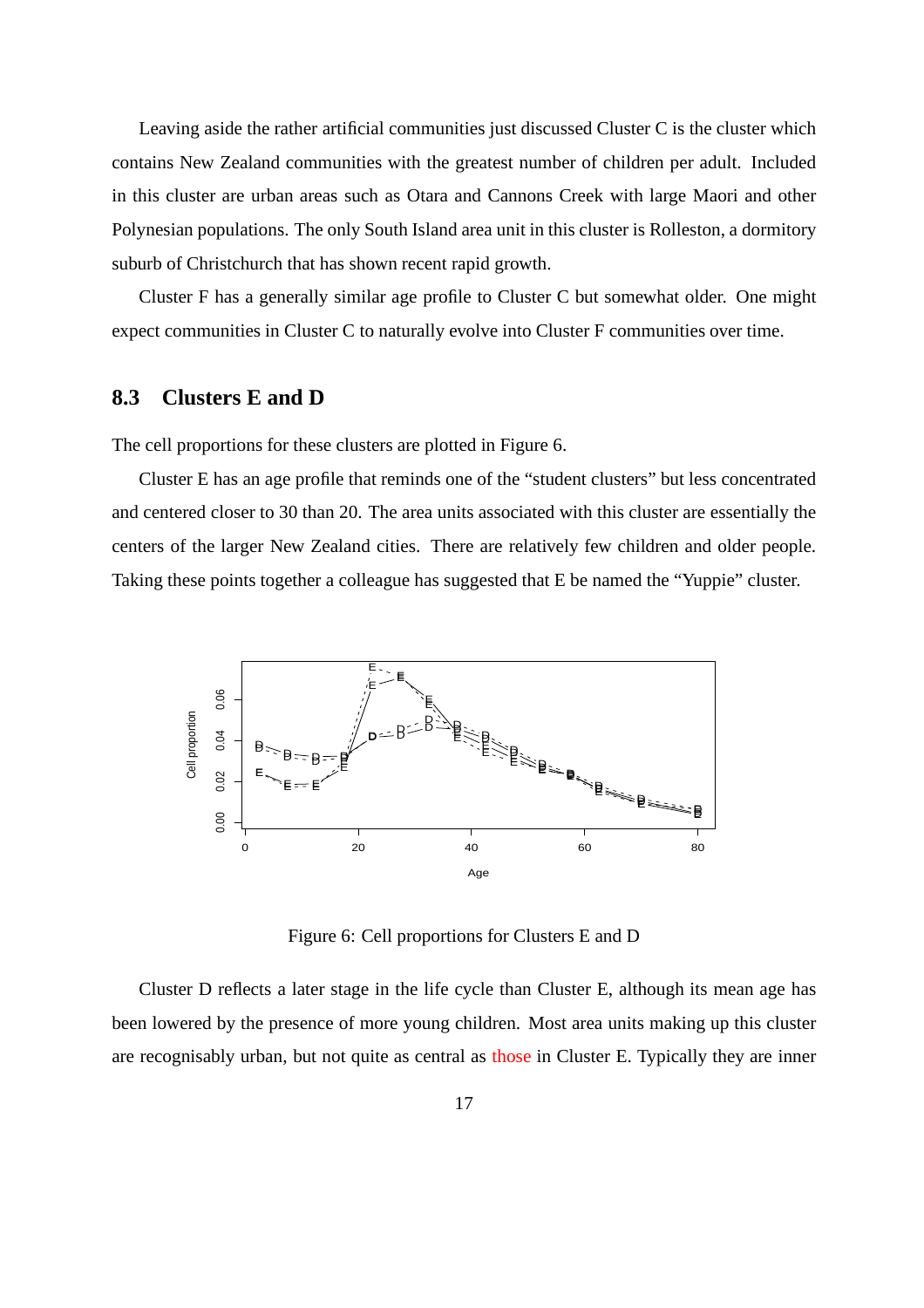Leaving aside the rather artificial communities just discussed Cluster C is the cluster which contains New Zealand communities with the greatest number of children per adult. Included in this cluster are urban areas such as Otara and Cannons Creek with large Maori and other Polynesian populations. The only South Island area unit in this cluster is Rolleston, a dormitory suburb of Christchurch that has shown recent rapid growth.

Cluster F has a generally similar age profile to Cluster C but somewhat older. One might expect communities in Cluster C to naturally evolve into Cluster F communities over time.

#### **8.3 Clusters E and D**

The cell proportions for these clusters are plotted in Figure 6.

Cluster E has an age profile that reminds one of the "student clusters" but less concentrated and centered closer to 30 than 20. The area units associated with this cluster are essentially the centers of the larger New Zealand cities. There are relatively few children and older people. Taking these points together a colleague has suggested that E be named the "Yuppie" cluster.



Figure 6: Cell proportions for Clusters E and D

Cluster D reflects a later stage in the life cycle than Cluster E, although its mean age has been lowered by the presence of more young children. Most area units making up this cluster are recognisably urban, but not quite as central as those in Cluster E. Typically they are inner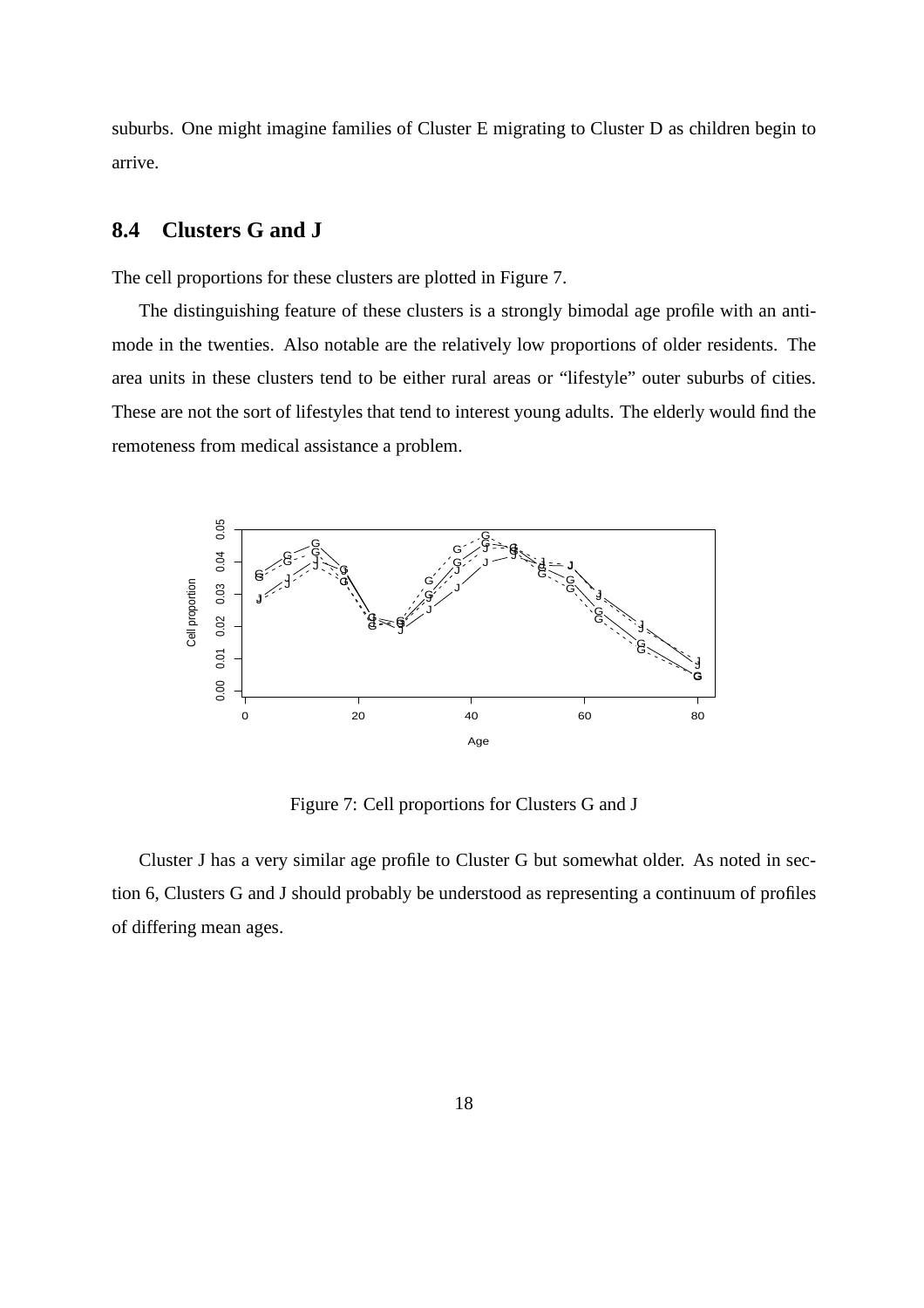suburbs. One might imagine families of Cluster E migrating to Cluster D as children begin to arrive.

#### **8.4 Clusters G and J**

The cell proportions for these clusters are plotted in Figure 7.

The distinguishing feature of these clusters is a strongly bimodal age profile with an antimode in the twenties. Also notable are the relatively low proportions of older residents. The area units in these clusters tend to be either rural areas or "lifestyle" outer suburbs of cities. These are not the sort of lifestyles that tend to interest young adults. The elderly would find the remoteness from medical assistance a problem.



Figure 7: Cell proportions for Clusters G and J

Cluster J has a very similar age profile to Cluster G but somewhat older. As noted in section 6, Clusters G and J should probably be understood as representing a continuum of profiles of differing mean ages.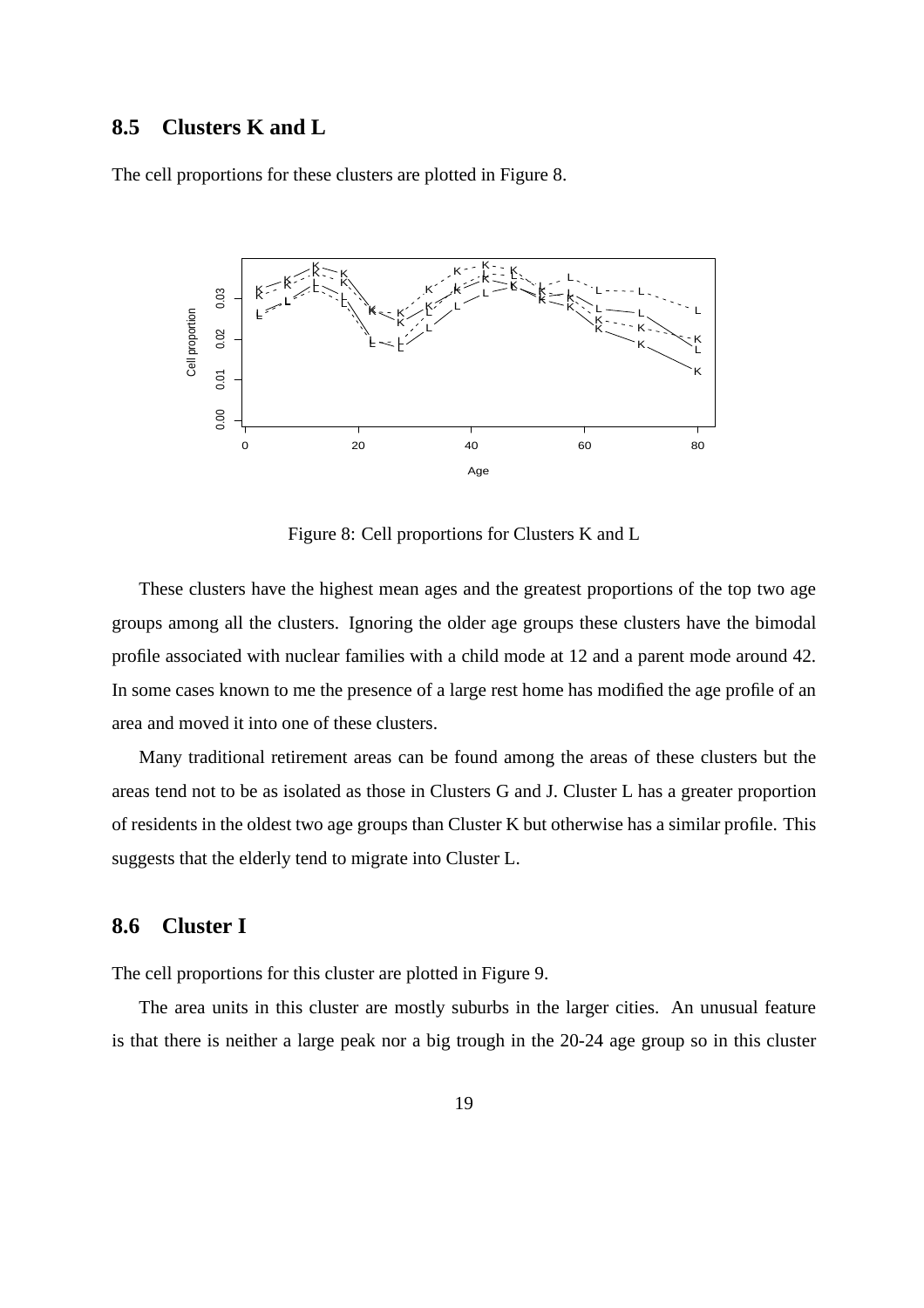#### **8.5 Clusters K and L**

The cell proportions for these clusters are plotted in Figure 8.



Figure 8: Cell proportions for Clusters K and L

These clusters have the highest mean ages and the greatest proportions of the top two age groups among all the clusters. Ignoring the older age groups these clusters have the bimodal profile associated with nuclear families with a child mode at 12 and a parent mode around 42. In some cases known to me the presence of a large rest home has modified the age profile of an area and moved it into one of these clusters.

Many traditional retirement areas can be found among the areas of these clusters but the areas tend not to be as isolated as those in Clusters G and J. Cluster L has a greater proportion of residents in the oldest two age groups than Cluster K but otherwise has a similar profile. This suggests that the elderly tend to migrate into Cluster L.

#### **8.6 Cluster I**

The cell proportions for this cluster are plotted in Figure 9.

The area units in this cluster are mostly suburbs in the larger cities. An unusual feature is that there is neither a large peak nor a big trough in the 20-24 age group so in this cluster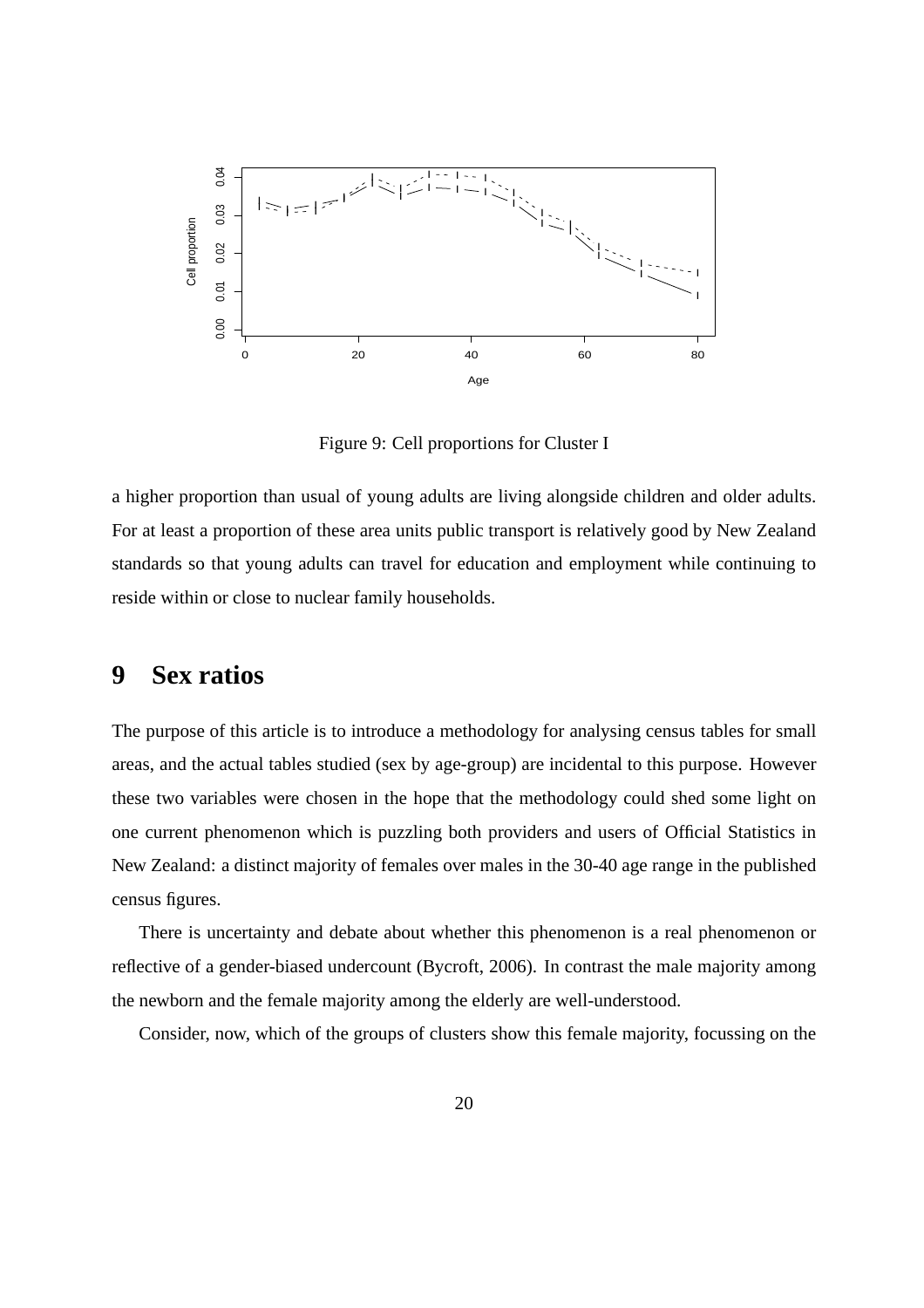

Figure 9: Cell proportions for Cluster I

a higher proportion than usual of young adults are living alongside children and older adults. For at least a proportion of these area units public transport is relatively good by New Zealand standards so that young adults can travel for education and employment while continuing to reside within or close to nuclear family households.

# **9 Sex ratios**

The purpose of this article is to introduce a methodology for analysing census tables for small areas, and the actual tables studied (sex by age-group) are incidental to this purpose. However these two variables were chosen in the hope that the methodology could shed some light on one current phenomenon which is puzzling both providers and users of Official Statistics in New Zealand: a distinct majority of females over males in the 30-40 age range in the published census figures.

There is uncertainty and debate about whether this phenomenon is a real phenomenon or reflective of a gender-biased undercount (Bycroft, 2006). In contrast the male majority among the newborn and the female majority among the elderly are well-understood.

Consider, now, which of the groups of clusters show this female majority, focussing on the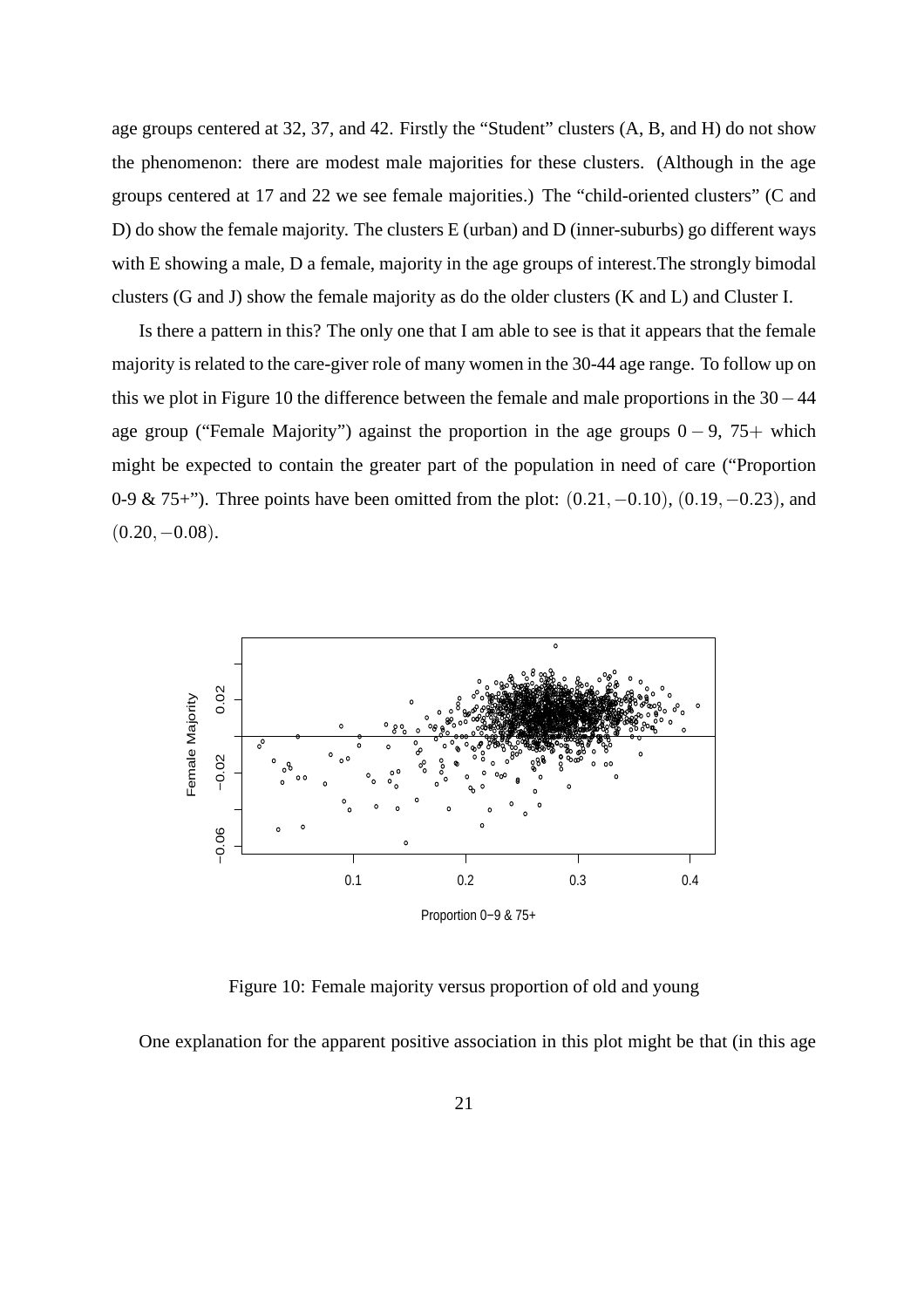age groups centered at 32, 37, and 42. Firstly the "Student" clusters (A, B, and H) do not show the phenomenon: there are modest male majorities for these clusters. (Although in the age groups centered at 17 and 22 we see female majorities.) The "child-oriented clusters" (C and D) do show the female majority. The clusters E (urban) and D (inner-suburbs) go different ways with E showing a male, D a female, majority in the age groups of interest.The strongly bimodal clusters (G and J) show the female majority as do the older clusters (K and L) and Cluster I.

Is there a pattern in this? The only one that I am able to see is that it appears that the female majority is related to the care-giver role of many women in the 30-44 age range. To follow up on this we plot in Figure 10 the difference between the female and male proportions in the 30−44 age group ("Female Majority") against the proportion in the age groups  $0 - 9$ , 75+ which might be expected to contain the greater part of the population in need of care ("Proportion 0-9 & 75+"). Three points have been omitted from the plot: (0.21,−0.10), (0.19,−0.23), and  $(0.20,-0.08)$ .



Figure 10: Female majority versus proportion of old and young

One explanation for the apparent positive association in this plot might be that (in this age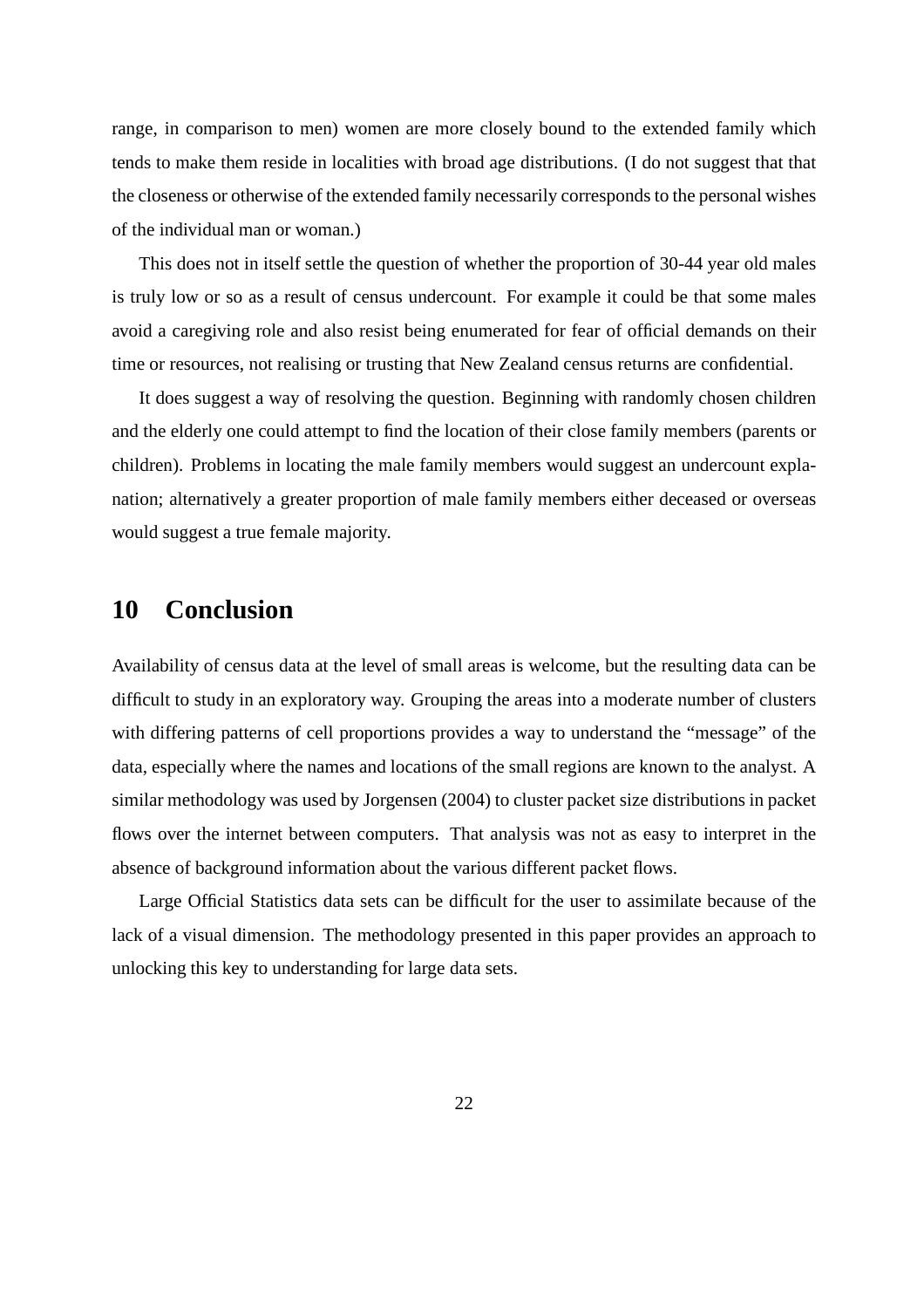range, in comparison to men) women are more closely bound to the extended family which tends to make them reside in localities with broad age distributions. (I do not suggest that that the closeness or otherwise of the extended family necessarily corresponds to the personal wishes of the individual man or woman.)

This does not in itself settle the question of whether the proportion of 30-44 year old males is truly low or so as a result of census undercount. For example it could be that some males avoid a caregiving role and also resist being enumerated for fear of official demands on their time or resources, not realising or trusting that New Zealand census returns are confidential.

It does suggest a way of resolving the question. Beginning with randomly chosen children and the elderly one could attempt to find the location of their close family members (parents or children). Problems in locating the male family members would suggest an undercount explanation; alternatively a greater proportion of male family members either deceased or overseas would suggest a true female majority.

# **10 Conclusion**

Availability of census data at the level of small areas is welcome, but the resulting data can be difficult to study in an exploratory way. Grouping the areas into a moderate number of clusters with differing patterns of cell proportions provides a way to understand the "message" of the data, especially where the names and locations of the small regions are known to the analyst. A similar methodology was used by Jorgensen (2004) to cluster packet size distributions in packet flows over the internet between computers. That analysis was not as easy to interpret in the absence of background information about the various different packet flows.

Large Official Statistics data sets can be difficult for the user to assimilate because of the lack of a visual dimension. The methodology presented in this paper provides an approach to unlocking this key to understanding for large data sets.